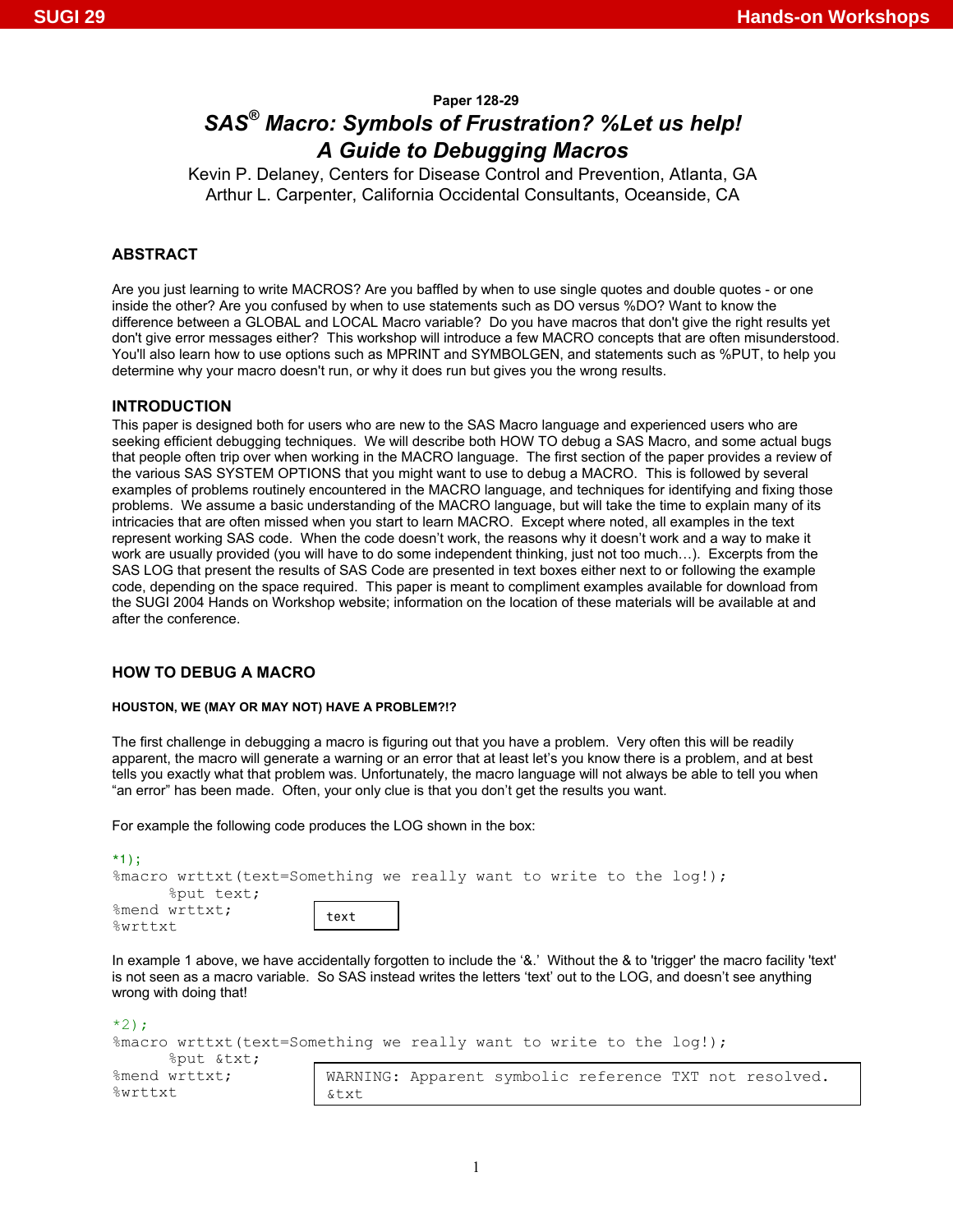# **Paper 128-29**

# *SAS® Macro: Symbols of Frustration? %Let us help! A Guide to Debugging Macros*

Kevin P. Delaney, Centers for Disease Control and Prevention, Atlanta, GA Arthur L. Carpenter, California Occidental Consultants, Oceanside, CA

# **ABSTRACT**

Are you just learning to write MACROS? Are you baffled by when to use single quotes and double quotes - or one inside the other? Are you confused by when to use statements such as DO versus %DO? Want to know the difference between a GLOBAL and LOCAL Macro variable? Do you have macros that don't give the right results yet don't give error messages either? This workshop will introduce a few MACRO concepts that are often misunderstood. You'll also learn how to use options such as MPRINT and SYMBOLGEN, and statements such as %PUT, to help you determine why your macro doesn't run, or why it does run but gives you the wrong results.

#### **INTRODUCTION**

This paper is designed both for users who are new to the SAS Macro language and experienced users who are seeking efficient debugging techniques. We will describe both HOW TO debug a SAS Macro, and some actual bugs that people often trip over when working in the MACRO language. The first section of the paper provides a review of the various SAS SYSTEM OPTIONS that you might want to use to debug a MACRO. This is followed by several examples of problems routinely encountered in the MACRO language, and techniques for identifying and fixing those problems. We assume a basic understanding of the MACRO language, but will take the time to explain many of its intricacies that are often missed when you start to learn MACRO. Except where noted, all examples in the text represent working SAS code. When the code doesn't work, the reasons why it doesn't work and a way to make it work are usually provided (you will have to do some independent thinking, just not too much…). Excerpts from the SAS LOG that present the results of SAS Code are presented in text boxes either next to or following the example code, depending on the space required. This paper is meant to compliment examples available for download from the SUGI 2004 Hands on Workshop website; information on the location of these materials will be available at and after the conference.

# **HOW TO DEBUG A MACRO**

#### **HOUSTON, WE (MAY OR MAY NOT) HAVE A PROBLEM?!?**

The first challenge in debugging a macro is figuring out that you have a problem. Very often this will be readily apparent, the macro will generate a warning or an error that at least let's you know there is a problem, and at best tells you exactly what that problem was. Unfortunately, the macro language will not always be able to tell you when "an error" has been made. Often, your only clue is that you don't get the results you want.

For example the following code produces the LOG shown in the box:

| $*1$ :                                                                                                                                                                                                                                                                                        |      |  |  |  |  |
|-----------------------------------------------------------------------------------------------------------------------------------------------------------------------------------------------------------------------------------------------------------------------------------------------|------|--|--|--|--|
| $\frac{1}{2}$ and $\frac{1}{2}$ are $\frac{1}{2}$ . $\frac{1}{2}$ are $\frac{1}{2}$ are $\frac{1}{2}$ are $\frac{1}{2}$ are $\frac{1}{2}$ are $\frac{1}{2}$ are $\frac{1}{2}$ are $\frac{1}{2}$ are $\frac{1}{2}$ are $\frac{1}{2}$ are $\frac{1}{2}$ are $\frac{1}{2}$ are $\frac{1}{2}$ are |      |  |  |  |  |
| %put text;                                                                                                                                                                                                                                                                                    |      |  |  |  |  |
| %mend wrttxt;                                                                                                                                                                                                                                                                                 | text |  |  |  |  |
| %wrttxt                                                                                                                                                                                                                                                                                       |      |  |  |  |  |

In example 1 above, we have accidentally forgotten to include the '&.' Without the & to 'trigger' the macro facility 'text' is not seen as a macro variable. So SAS instead writes the letters 'text' out to the LOG, and doesn't see anything wrong with doing that!

| $*2$ :                   |                                                                                                         |
|--------------------------|---------------------------------------------------------------------------------------------------------|
|                          | $\frac{1}{2}$ and $\frac{1}{2}$ are $\frac{1}{2}$ (text=Something we really want to write to the log!); |
| oput &txt                |                                                                                                         |
| %mend wrttxt;<br>%wrttxt | WARNING: Apparent symbolic reference TXT not resolved.<br>&txt                                          |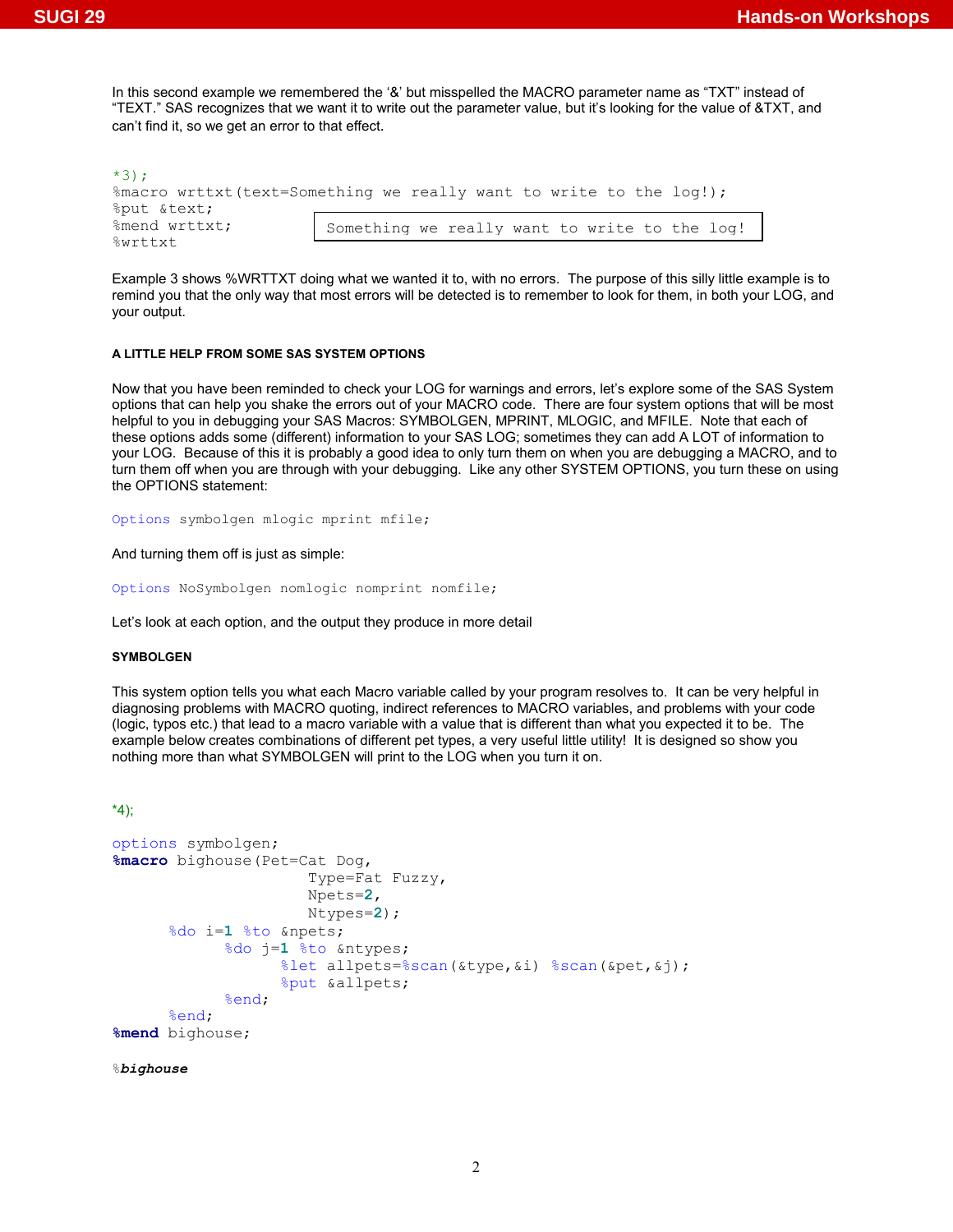In this second example we remembered the '&' but misspelled the MACRO parameter name as "TXT" instead of "TEXT." SAS recognizes that we want it to write out the parameter value, but it's looking for the value of &TXT, and can't find it, so we get an error to that effect.

| $*3$ :                |                                                                    |
|-----------------------|--------------------------------------------------------------------|
|                       | %macro wrttxt(text=Something we really want to write to the log!); |
| <i>Sput &amp;text</i> |                                                                    |
| %mend wrttxt;         | Something we really want to write to the log!                      |
| %wrttxt               |                                                                    |

Example 3 shows %WRTTXT doing what we wanted it to, with no errors. The purpose of this silly little example is to remind you that the only way that most errors will be detected is to remember to look for them, in both your LOG, and your output.

## **A LITTLE HELP FROM SOME SAS SYSTEM OPTIONS**

Now that you have been reminded to check your LOG for warnings and errors, let's explore some of the SAS System options that can help you shake the errors out of your MACRO code. There are four system options that will be most helpful to you in debugging your SAS Macros: SYMBOLGEN, MPRINT, MLOGIC, and MFILE. Note that each of these options adds some (different) information to your SAS LOG; sometimes they can add A LOT of information to your LOG. Because of this it is probably a good idea to only turn them on when you are debugging a MACRO, and to turn them off when you are through with your debugging. Like any other SYSTEM OPTIONS, you turn these on using the OPTIONS statement:

Options symbolgen mlogic mprint mfile;

And turning them off is just as simple:

Options NoSymbolgen nomlogic nomprint nomfile;

Let's look at each option, and the output they produce in more detail

## **SYMBOLGEN**

This system option tells you what each Macro variable called by your program resolves to. It can be very helpful in diagnosing problems with MACRO quoting, indirect references to MACRO variables, and problems with your code (logic, typos etc.) that lead to a macro variable with a value that is different than what you expected it to be. The example below creates combinations of different pet types, a very useful little utility! It is designed so show you nothing more than what SYMBOLGEN will print to the LOG when you turn it on.

## \*4);

```
options symbolgen; 
%macro bighouse(Pet=Cat Dog, 
                         Type=Fat Fuzzy, 
                         Npets=2, 
                         Ntypes=2); 
       %do i=1 %to &npets; 
              %do j=1 %to &ntypes; 
                     %let allpets=%scan(&type,&i) %scan(&pet,&j); 
                     %put &allpets; 
              %end; 
       %end; 
%mend bighouse;
```
#### %*bighouse*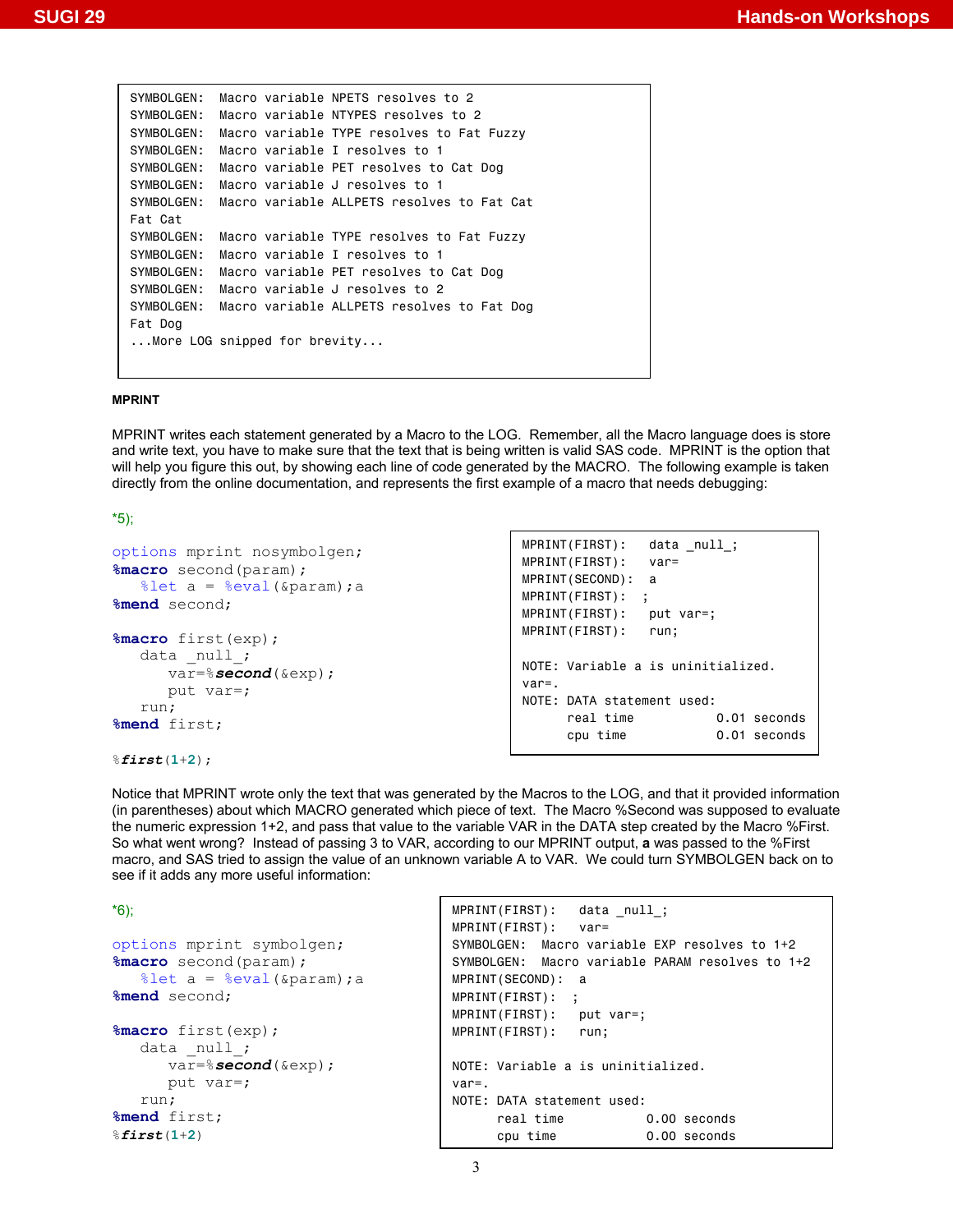| SYMBOLGEN:  | Macro variable NPETS resolves to 2         |  |
|-------------|--------------------------------------------|--|
| SYMBOLGEN:  | Macro variable NTYPES resolves to 2        |  |
| SYMBOLGEN:  | Macro variable TYPE resolves to Fat Fuzzy  |  |
| SYMBOLGEN:  | Macro variable I resolves to 1             |  |
| SYMBOL GEN: | Macro variable PET resolves to Cat Dog     |  |
| SYMBOLGEN:  | Macro variable J resolves to 1             |  |
| SYMBOLGEN:  | Macro variable ALLPETS resolves to Fat Cat |  |
| Fat Cat     |                                            |  |
| SYMBOLGEN:  | Macro variable TYPE resolves to Fat Fuzzy  |  |
| SYMBOLGEN:  | Macro variable I resolves to 1             |  |
| SYMBOLGEN:  | Macro variable PET resolves to Cat Dog     |  |
| SYMBOL GEN: | Macro variable J resolves to 2             |  |
| SYMBOLGEN:  | Macro variable ALLPETS resolves to Fat Dog |  |
| Fat Dog     |                                            |  |
|             | More LOG snipped for brevity               |  |
|             |                                            |  |

#### **MPRINT**

MPRINT writes each statement generated by a Macro to the LOG. Remember, all the Macro language does is store and write text, you have to make sure that the text that is being written is valid SAS code. MPRINT is the option that will help you figure this out, by showing each line of code generated by the MACRO. The following example is taken directly from the online documentation, and represents the first example of a macro that needs debugging:

\*5);

```
options mprint nosymbolgen; 
%macro second(param); 
   \text{let } a = \text{seval}(\text{Sparam}); a%mend second; 
%macro first(exp); 
   data null;
       var=%second(&exp); 
       put var=; 
    run; 
%mend first; 
                                                    MPRINT(FIRST): data null;
                                                    MPRINT(FIRST): var= 
                                                    MPRINT(SECOND): a 
                                                    MPRINT(FIRST): ; 
                                                    MPRINT(FIRST): put var=; 
                                                    MPRINT(FIRST): run; 
                                                    NOTE: Variable a is uninitialized. 
                                                    var=. 
                                                    NOTE: DATA statement used: 
                                                         real time 0.01 seconds
                                                          cpu time 0.01 seconds
```
%*first*(**1**+**2**);

Notice that MPRINT wrote only the text that was generated by the Macros to the LOG, and that it provided information (in parentheses) about which MACRO generated which piece of text. The Macro %Second was supposed to evaluate the numeric expression 1+2, and pass that value to the variable VAR in the DATA step created by the Macro %First. So what went wrong? Instead of passing 3 to VAR, according to our MPRINT output, **a** was passed to the %First macro, and SAS tried to assign the value of an unknown variable A to VAR. We could turn SYMBOLGEN back on to see if it adds any more useful information:

```
*6); 
options mprint symbolgen; 
%macro second(param); 
   %let a = %eval(\text{span}); a
%mend second; 
%macro first(exp); 
   data null;
       var=%second(&exp); 
       put var=; 
    run; 
%mend first; 
%first(1+2) 
                                           MPRINT(FIRST): data _null_; 
                                           MPRINT(FIRST): var= 
                                           SYMBOLGEN: Macro variable EXP resolves to 1+2 
                                           SYMBOLGEN: Macro variable PARAM resolves to 1+2 
                                           MPRINT(SECOND): a 
                                           MPRINT(FIRST): ; 
                                           MPRINT(FIRST): put var=; 
                                           MPRINT(FIRST): run; 
                                           NOTE: Variable a is uninitialized. 
                                           var=. 
                                           NOTE: DATA statement used: 
                                                 real time 0.00 seconds 
                                                 cpu time 0.00 seconds
```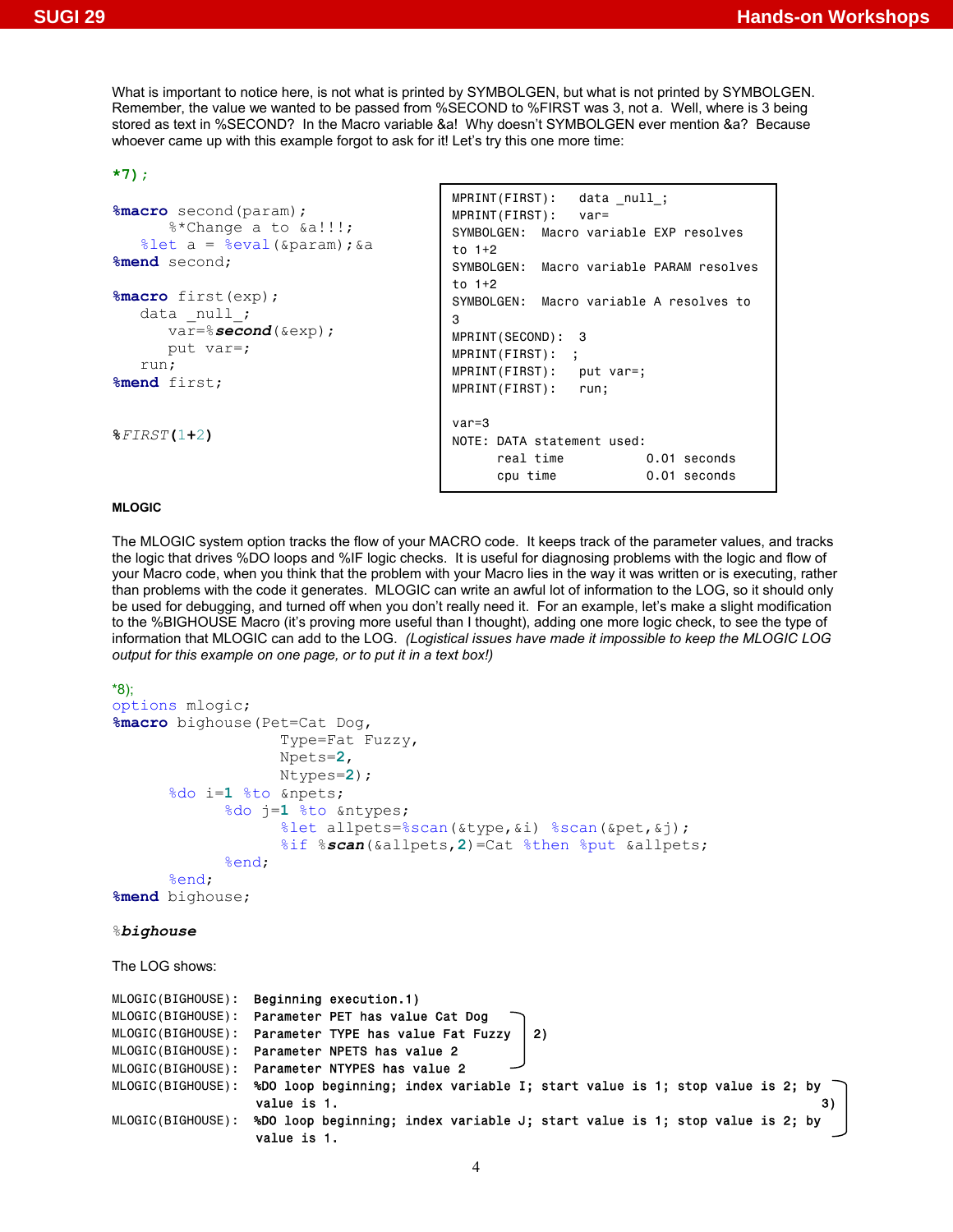What is important to notice here, is not what is printed by SYMBOLGEN, but what is not printed by SYMBOLGEN. Remember, the value we wanted to be passed from %SECOND to %FIRST was 3, not a. Well, where is 3 being stored as text in %SECOND? In the Macro variable &a! Why doesn't SYMBOLGEN ever mention &a? Because whoever came up with this example forgot to ask for it! Let's try this one more time:

## **\*7);**

```
%macro second(param); 
        %*Change a to &a!!!; 
   \text{let } a = \text{seval}(\text{span}); & a
%mend second; 
%macro first(exp); 
   data null_;
       var=%second(&exp); 
       put var=; 
    run; 
%mend first; 
%FIRST(1+2)
                                            MPRINT(FIRST): data null;
                                            MPRINT(FIRST): var= 
                                            SYMBOLGEN: Macro variable EXP resolves 
                                            to 1+2 
                                            SYMBOLGEN: Macro variable PARAM resolves 
                                            to 1+2 
                                            SYMBOLGEN: Macro variable A resolves to 
                                            3 
                                            MPRINT(SECOND): 3 
                                            MPRINT(FIRST): ; 
                                            MPRINT(FIRST): put var=; 
                                            MPRINT(FIRST): run; 
                                            var=3 
                                            NOTE: DATA statement used: 
                                                 real time 0.01 seconds
                                                  cpu time 0.01 seconds
```
## **MLOGIC**

The MLOGIC system option tracks the flow of your MACRO code. It keeps track of the parameter values, and tracks the logic that drives %DO loops and %IF logic checks. It is useful for diagnosing problems with the logic and flow of your Macro code, when you think that the problem with your Macro lies in the way it was written or is executing, rather than problems with the code it generates. MLOGIC can write an awful lot of information to the LOG, so it should only be used for debugging, and turned off when you don't really need it. For an example, let's make a slight modification to the %BIGHOUSE Macro (it's proving more useful than I thought), adding one more logic check, to see the type of information that MLOGIC can add to the LOG. *(Logistical issues have made it impossible to keep the MLOGIC LOG output for this example on one page, or to put it in a text box!)*

```
*8); 
options mlogic; 
%macro bighouse(Pet=Cat Dog, 
                     Type=Fat Fuzzy, 
                     Npets=2, 
                     Ntypes=2); 
        %do i=1 %to &npets; 
              %do j=1 %to &ntypes; 
                     %let allpets=%scan(&type,&i) %scan(&pet,&j); 
                     %if %scan(&allpets,2)=Cat %then %put &allpets; 
              %end; 
        %end; 
%mend bighouse; 
%bighouse 
The LOG shows: 
MLOGIC(BIGHOUSE): Beginning execution.1)
MLOGIC(BIGHOUSE): Parameter PET has value Cat Dog
MLOGIC(BIGHOUSE): Parameter TYPE has value Fat Fuzzy | 2)
MLOGIC(BIGHOUSE): Parameter NPETS has value 2 
MLOGIC(BIGHOUSE): Parameter NTYPES has value 2
MLOGIC(BIGHOUSE): %DO loop beginning; index variable I; start value is 1; stop value is 2; by 
                 value is 1. \hspace{1.6cm} 3)
MLOGIC(BIGHOUSE): %DO loop beginning; index variable J; start value is 1; stop value is 2; by 
                  value is 1.
```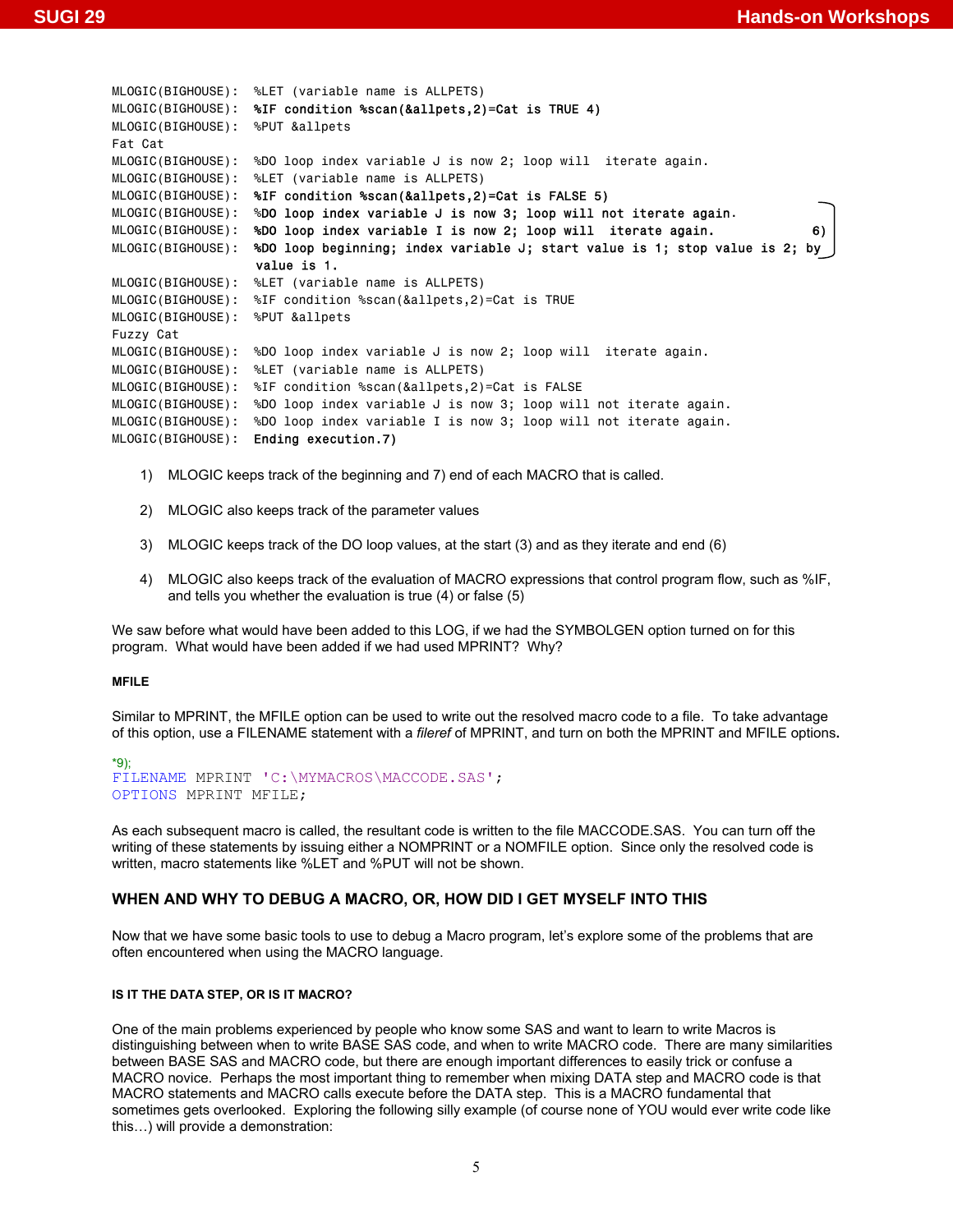```
MLOGIC(BIGHOUSE): %LET (variable name is ALLPETS) 
MLOGIC(BIGHOUSE): %IF condition %scan(&allpets,2)=Cat is TRUE 4)
MLOGIC(BIGHOUSE): %PUT &allpets 
Fat Cat 
MLOGIC(BIGHOUSE): %DO loop index variable J is now 2; loop will iterate again. 
MLOGIC(BIGHOUSE): %LET (variable name is ALLPETS) 
MLOGIC(BIGHOUSE): %IF condition %scan(&allpets,2)=Cat is FALSE 5)
MLOGIC(BIGHOUSE): %DO loop index variable J is now 3; loop will not iterate again. 
MLOGIC(BIGHOUSE): %DO loop index variable I is now 2; loop will iterate again. 6)
MLOGIC(BIGHOUSE): %DO loop beginning; index variable J; start value is 1; stop value is 2; by 
                   value is 1. 
MLOGIC(BIGHOUSE): %LET (variable name is ALLPETS) 
MLOGIC(BIGHOUSE): %IF condition %scan(&allpets,2)=Cat is TRUE 
MLOGIC(BIGHOUSE): %PUT &allpets 
Fuzzy Cat 
MLOGIC(BIGHOUSE): %DO loop index variable J is now 2; loop will iterate again. 
MLOGIC(BIGHOUSE): %LET (variable name is ALLPETS) 
MLOGIC(BIGHOUSE): %IF condition %scan(&allpets,2)=Cat is FALSE 
MLOGIC(BIGHOUSE): %DO loop index variable J is now 3; loop will not iterate again. 
MLOGIC(BIGHOUSE): %DO loop index variable I is now 3; loop will not iterate again. 
MLOGIC(BIGHOUSE): Ending execution.7)
```
- 1) MLOGIC keeps track of the beginning and 7) end of each MACRO that is called.
- 2) MLOGIC also keeps track of the parameter values
- 3) MLOGIC keeps track of the DO loop values, at the start (3) and as they iterate and end (6)
- 4) MLOGIC also keeps track of the evaluation of MACRO expressions that control program flow, such as %IF, and tells you whether the evaluation is true (4) or false (5)

We saw before what would have been added to this LOG, if we had the SYMBOLGEN option turned on for this program. What would have been added if we had used MPRINT? Why?

#### **MFILE**

Similar to MPRINT, the MFILE option can be used to write out the resolved macro code to a file. To take advantage of this option, use a FILENAME statement with a *fileref* of MPRINT, and turn on both the MPRINT and MFILE options**.** 

```
*9); 
FILENAME MPRINT 'C:\MYMACROS\MACCODE.SAS'; 
OPTIONS MPRINT MFILE;
```
As each subsequent macro is called, the resultant code is written to the file MACCODE.SAS. You can turn off the writing of these statements by issuing either a NOMPRINT or a NOMFILE option. Since only the resolved code is written, macro statements like %LET and %PUT will not be shown.

# **WHEN AND WHY TO DEBUG A MACRO, OR, HOW DID I GET MYSELF INTO THIS**

Now that we have some basic tools to use to debug a Macro program, let's explore some of the problems that are often encountered when using the MACRO language.

## **IS IT THE DATA STEP, OR IS IT MACRO?**

One of the main problems experienced by people who know some SAS and want to learn to write Macros is distinguishing between when to write BASE SAS code, and when to write MACRO code. There are many similarities between BASE SAS and MACRO code, but there are enough important differences to easily trick or confuse a MACRO novice. Perhaps the most important thing to remember when mixing DATA step and MACRO code is that MACRO statements and MACRO calls execute before the DATA step. This is a MACRO fundamental that sometimes gets overlooked. Exploring the following silly example (of course none of YOU would ever write code like this…) will provide a demonstration: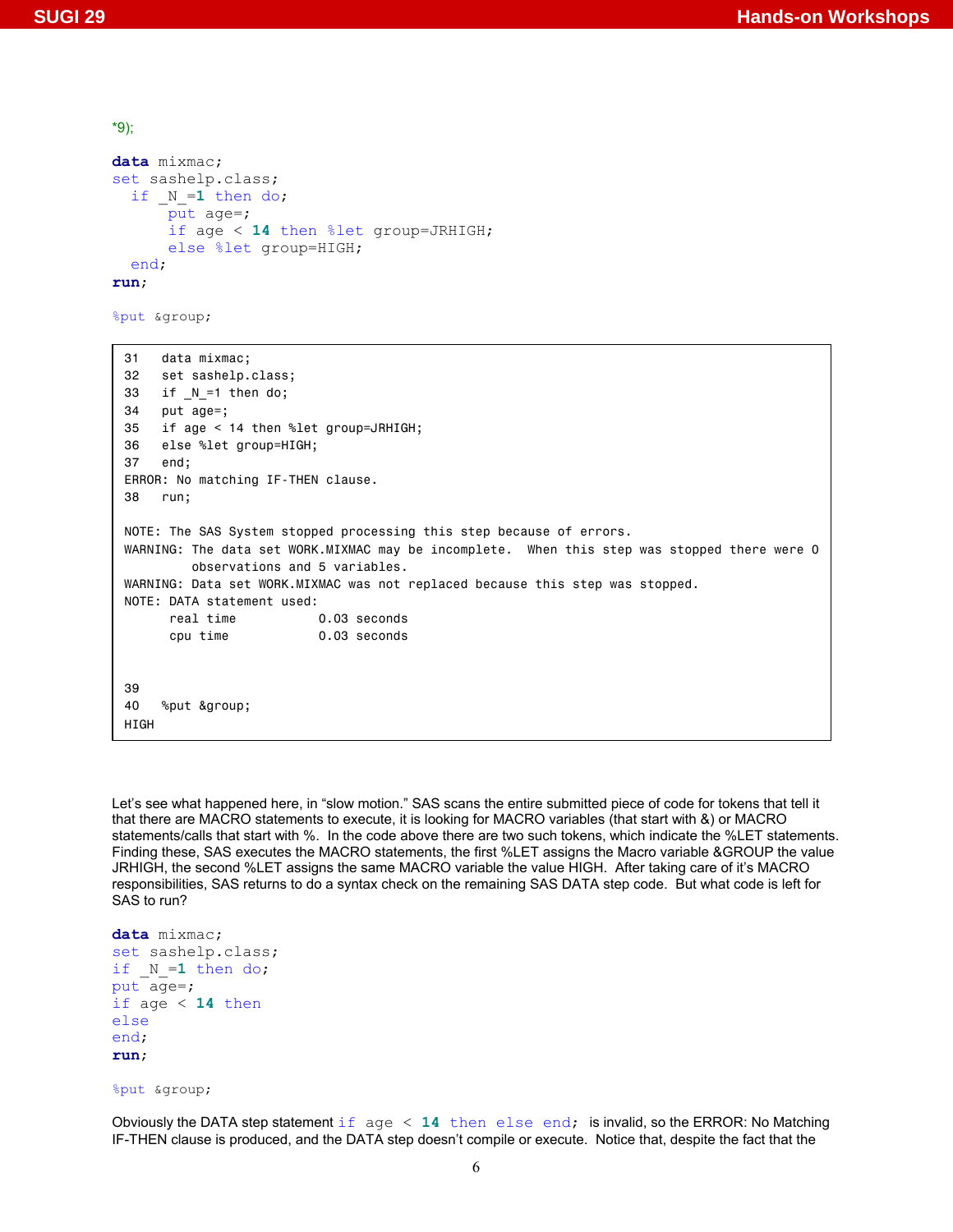```
*9); 
data mixmac; 
set sashelp.class; 
  if N=1 then do;
       put age=; 
       if age < 14 then %let group=JRHIGH; 
       else %let group=HIGH; 
   end; 
run;
```
%put &group;

```
31 data mixmac; 
32 set sashelp.class; 
33 if _N_=1 then do; 
34 put age=; 
35 if age < 14 then %let group=JRHIGH; 
36 else %let group=HIGH; 
37 end; 
ERROR: No matching IF-THEN clause. 
38 run; 
NOTE: The SAS System stopped processing this step because of errors. 
WARNING: The data set WORK.MIXMAC may be incomplete. When this step was stopped there were 0
         observations and 5 variables. 
WARNING: Data set WORK.MIXMAC was not replaced because this step was stopped. 
NOTE: DATA statement used: 
     real time 0.03 seconds
      cpu time 0.03 seconds 
39 
40 %put &group; 
HIGH
```
Let's see what happened here, in "slow motion." SAS scans the entire submitted piece of code for tokens that tell it that there are MACRO statements to execute, it is looking for MACRO variables (that start with &) or MACRO statements/calls that start with %. In the code above there are two such tokens, which indicate the %LET statements. Finding these, SAS executes the MACRO statements, the first %LET assigns the Macro variable &GROUP the value JRHIGH, the second %LET assigns the same MACRO variable the value HIGH. After taking care of it's MACRO responsibilities, SAS returns to do a syntax check on the remaining SAS DATA step code. But what code is left for SAS to run?

```
data mixmac; 
set sashelp.class; 
if _N = 1 then do;
put aq =;
if age < 14 then 
else 
end; 
run;
```
%put &group;

Obviously the DATA step statement if age < **14** then else end; is invalid, so the ERROR: No Matching IF-THEN clause is produced, and the DATA step doesn't compile or execute. Notice that, despite the fact that the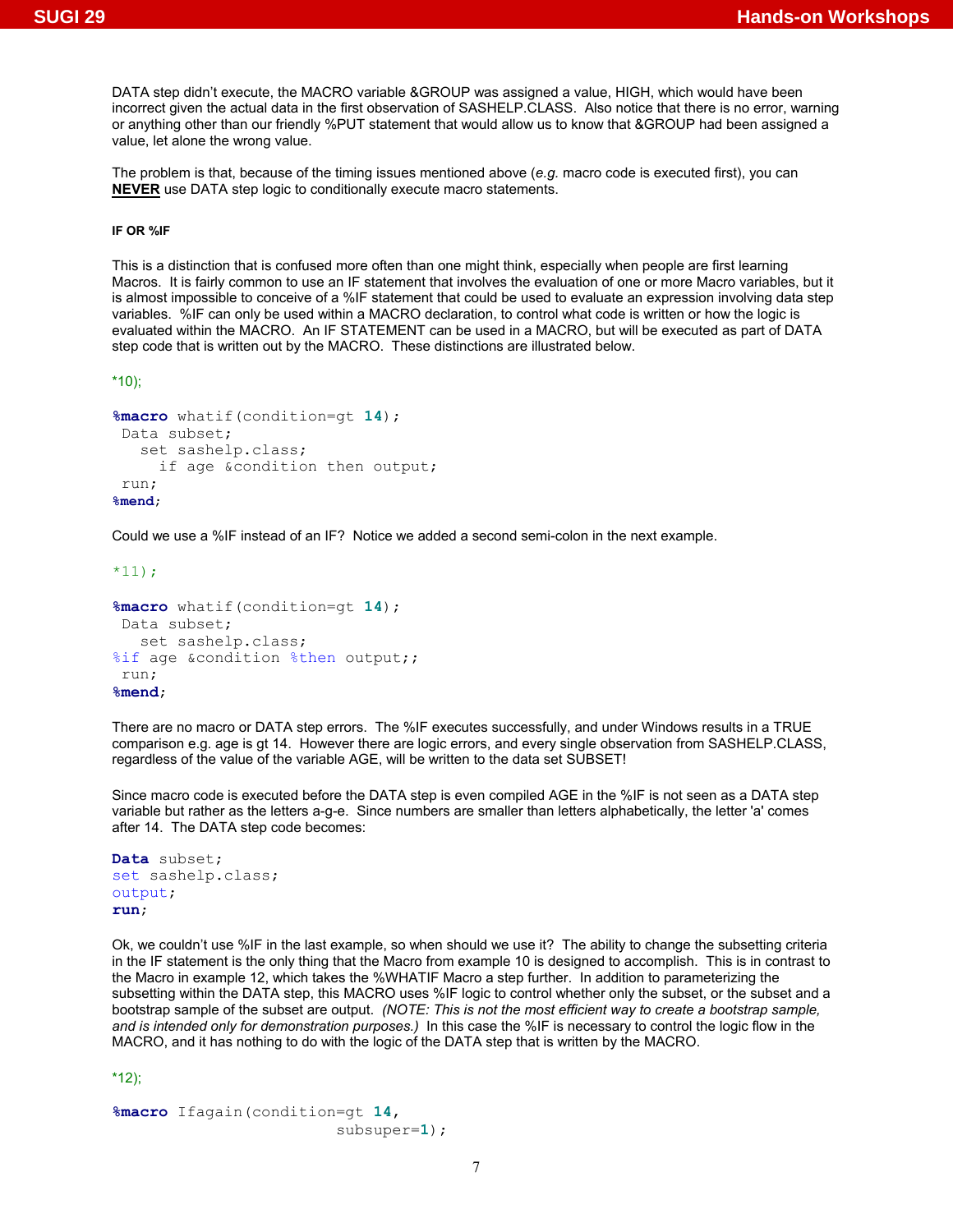DATA step didn't execute, the MACRO variable &GROUP was assigned a value, HIGH, which would have been incorrect given the actual data in the first observation of SASHELP.CLASS. Also notice that there is no error, warning or anything other than our friendly %PUT statement that would allow us to know that &GROUP had been assigned a value, let alone the wrong value.

The problem is that, because of the timing issues mentioned above (*e.g.* macro code is executed first), you can **NEVER** use DATA step logic to conditionally execute macro statements.

#### **IF OR %IF**

This is a distinction that is confused more often than one might think, especially when people are first learning Macros. It is fairly common to use an IF statement that involves the evaluation of one or more Macro variables, but it is almost impossible to conceive of a %IF statement that could be used to evaluate an expression involving data step variables. %IF can only be used within a MACRO declaration, to control what code is written or how the logic is evaluated within the MACRO. An IF STATEMENT can be used in a MACRO, but will be executed as part of DATA step code that is written out by the MACRO. These distinctions are illustrated below.

\*10);

```
%macro whatif(condition=gt 14); 
 Data subset; 
    set sashelp.class; 
      if age &condition then output; 
  run; 
%mend;
```
Could we use a %IF instead of an IF? Notice we added a second semi-colon in the next example.

 $*11;$ 

```
%macro whatif(condition=gt 14); 
 Data subset; 
   set sashelp.class; 
%if age &condition %then output;;
 run; 
%mend;
```
There are no macro or DATA step errors. The %IF executes successfully, and under Windows results in a TRUE comparison e.g. age is gt 14. However there are logic errors, and every single observation from SASHELP.CLASS, regardless of the value of the variable AGE, will be written to the data set SUBSET!

Since macro code is executed before the DATA step is even compiled AGE in the %IF is not seen as a DATA step variable but rather as the letters a-g-e. Since numbers are smaller than letters alphabetically, the letter 'a' comes after 14. The DATA step code becomes:

```
Data subset; 
set sashelp.class; 
output; 
run;
```
Ok, we couldn't use %IF in the last example, so when should we use it? The ability to change the subsetting criteria in the IF statement is the only thing that the Macro from example 10 is designed to accomplish. This is in contrast to the Macro in example 12, which takes the %WHATIF Macro a step further. In addition to parameterizing the subsetting within the DATA step, this MACRO uses %IF logic to control whether only the subset, or the subset and a bootstrap sample of the subset are output. *(NOTE: This is not the most efficient way to create a bootstrap sample, and is intended only for demonstration purposes.)* In this case the %IF is necessary to control the logic flow in the MACRO, and it has nothing to do with the logic of the DATA step that is written by the MACRO.

\*12);

```
%macro Ifagain(condition=gt 14, 
                           subsuper=1);
```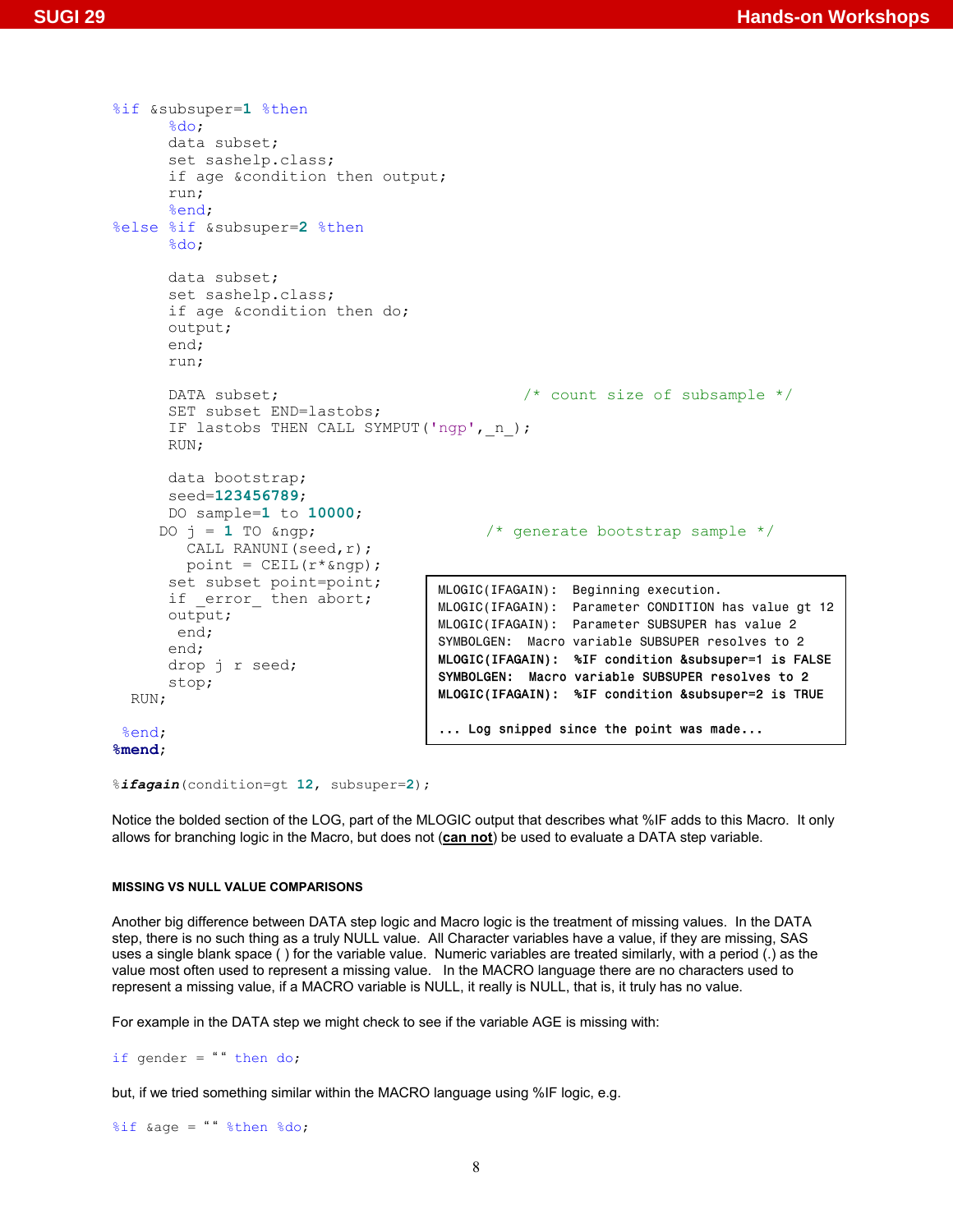```
%if &subsuper=1 %then 
      %do; 
       data subset; 
       set sashelp.class; 
       if age &condition then output; 
       run; 
      %end; 
%else %if &subsuper=2 %then 
      8d0:
       data subset; 
       set sashelp.class; 
       if age &condition then do; 
       output; 
       end; 
       run; 
      DATA subset; \frac{1}{2} /* count size of subsample */
       SET subset END=lastobs; 
      IF lastobs THEN CALL SYMPUT ('ngp', n );
       RUN; 
       data bootstrap; 
       seed=123456789; 
       DO sample=1 to 10000; 
     DO j = 1 TO \text{k}ngp; \frac{1}{2} /* generate bootstrap sample */
         CALL RANUNI(seed,r);
        point = CEIL(r * \alpha);
       set subset point=point; 
      if error then abort;
       output; 
        end; 
       end; 
       drop j r seed; 
       stop; 
   RUN; 
 %end; 
%mend; 
                                        MLOGIC(IFAGAIN): Beginning execution. 
                                        MLOGIC(IFAGAIN): Parameter CONDITION has value gt 12
                                        MLOGIC(IFAGAIN): Parameter SUBSUPER has value 2 
                                        SYMBOLGEN: Macro variable SUBSUPER resolves to 2 
                                        MLOGIC(IFAGAIN): %IF condition &subsuper=1 is FALSE 
                                        SYMBOLGEN: Macro variable SUBSUPER resolves to 2 
                                        MLOGIC(IFAGAIN): %IF condition &subsuper=2 is TRUE 
                                        ... Log snipped since the point was made...
```

```
%ifagain(condition=gt 12, subsuper=2);
```
Notice the bolded section of the LOG, part of the MLOGIC output that describes what %IF adds to this Macro. It only allows for branching logic in the Macro, but does not (**can not**) be used to evaluate a DATA step variable.

#### **MISSING VS NULL VALUE COMPARISONS**

Another big difference between DATA step logic and Macro logic is the treatment of missing values. In the DATA step, there is no such thing as a truly NULL value. All Character variables have a value, if they are missing, SAS uses a single blank space ( ) for the variable value. Numeric variables are treated similarly, with a period (.) as the value most often used to represent a missing value. In the MACRO language there are no characters used to represent a missing value, if a MACRO variable is NULL, it really is NULL, that is, it truly has no value.

For example in the DATA step we might check to see if the variable AGE is missing with:

if gender = "" then do;

but, if we tried something similar within the MACRO language using %IF logic, e.g.

%if &age = " " %then %do;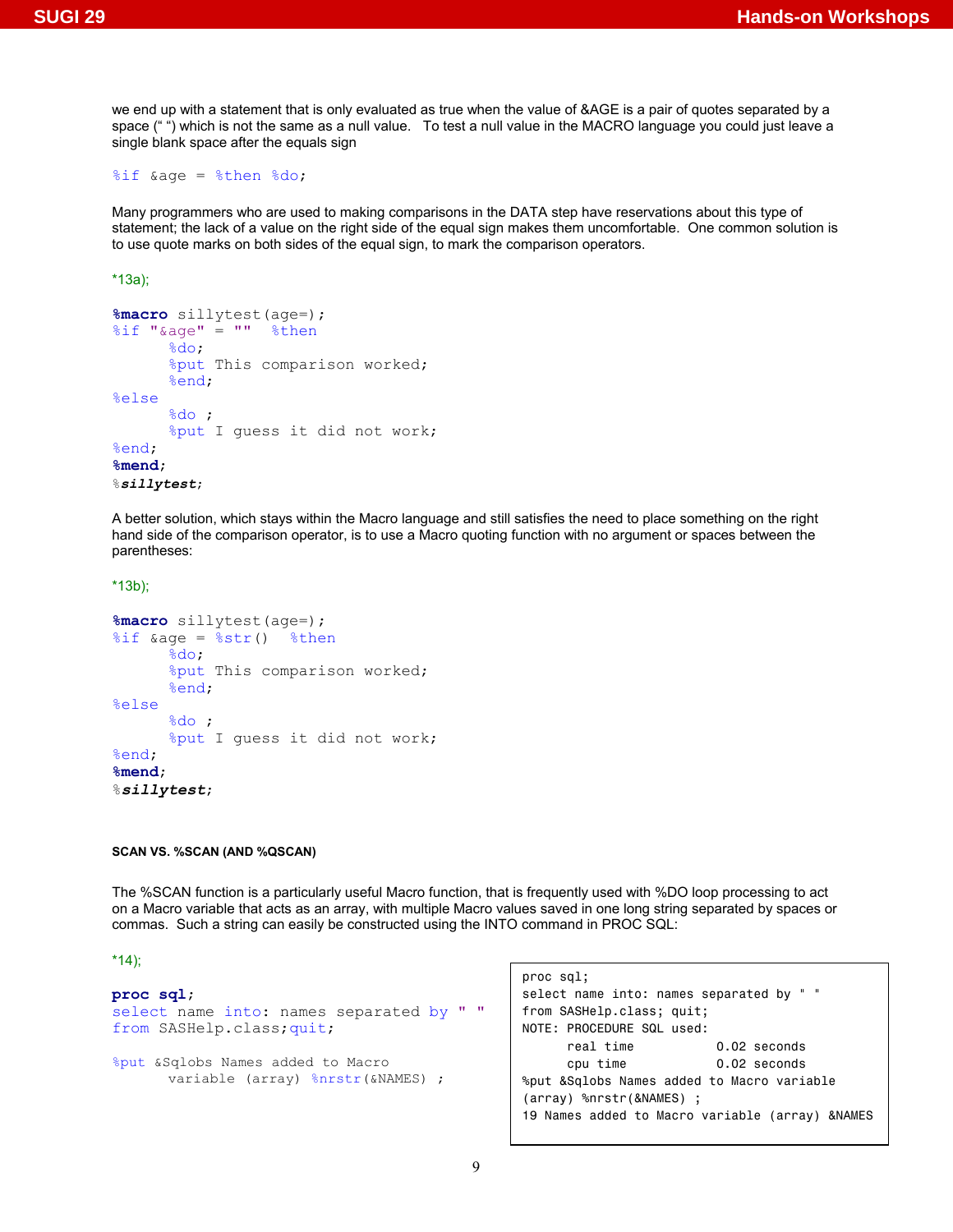we end up with a statement that is only evaluated as true when the value of &AGE is a pair of quotes separated by a space ("") which is not the same as a null value. To test a null value in the MACRO language you could just leave a single blank space after the equals sign

#### $\text{if } \text{age} = \text{?then } \text{?do};$

Many programmers who are used to making comparisons in the DATA step have reservations about this type of statement; the lack of a value on the right side of the equal sign makes them uncomfortable. One common solution is to use quote marks on both sides of the equal sign, to mark the comparison operators.

\*13a);

```
%macro sillytest(age=); 
\text{Sif} " \text{Aage} " = "" \text{Sthen}%do; 
       %put This comparison worked; 
       %end; 
%else
       %do ; 
       %put I guess it did not work; 
%end; 
%mend; 
%sillytest;
```
A better solution, which stays within the Macro language and still satisfies the need to place something on the right hand side of the comparison operator, is to use a Macro quoting function with no argument or spaces between the parentheses:

```
*13b);
```

```
%macro sillytest(age=); 
\text{Sif} &age = \text{Sstr}() \text{Sthen}%do; 
       %put This comparison worked; 
       %end; 
%else
       %do ; 
       %put I guess it did not work; 
%end; 
%mend; 
%sillytest;
```
#### **SCAN VS. %SCAN (AND %QSCAN)**

The %SCAN function is a particularly useful Macro function, that is frequently used with %DO loop processing to act on a Macro variable that acts as an array, with multiple Macro values saved in one long string separated by spaces or commas. Such a string can easily be constructed using the INTO command in PROC SQL:

\*14);

```
proc sql;
```

```
select name into: names separated by " " 
from SASHelp.class;quit; 
%put &Sqlobs Names added to Macro 
      variable (array) %nrstr(&NAMES) ;
```

```
proc sql; 
select name into: names separated by " " 
from SASHelp.class; quit; 
NOTE: PROCEDURE SQL used: 
     real time 0.02 seconds
      cpu time 0.02 seconds 
%put &Sqlobs Names added to Macro variable 
(array) %nrstr(&NAMES) ; 
19 Names added to Macro variable (array) &NAMES
```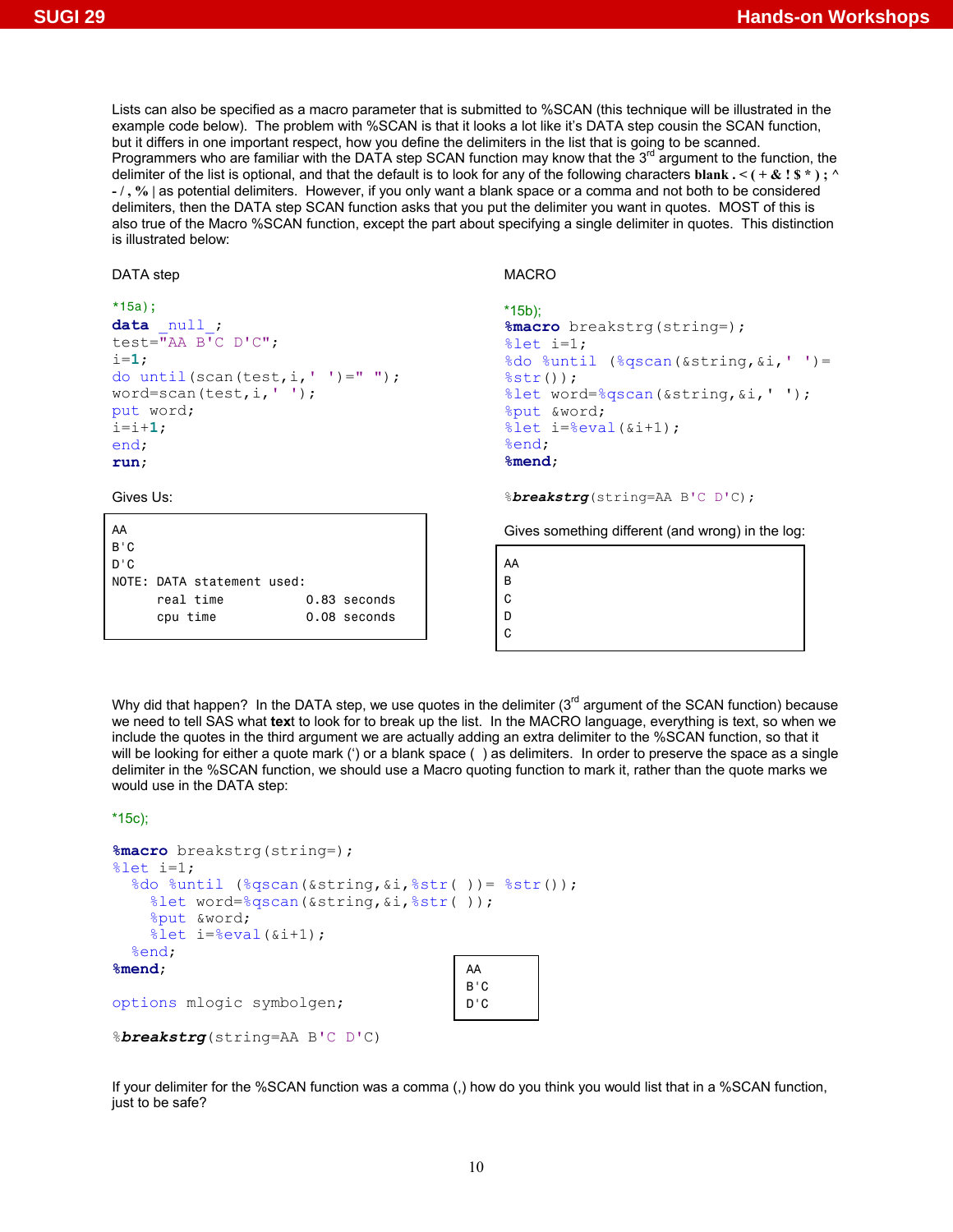Lists can also be specified as a macro parameter that is submitted to %SCAN (this technique will be illustrated in the example code below). The problem with %SCAN is that it looks a lot like it's DATA step cousin the SCAN function, but it differs in one important respect, how you define the delimiters in the list that is going to be scanned. Programmers who are familiar with the DATA step SCAN function may know that the  $3<sup>rd</sup>$  argument to the function, the delimiter of the list is optional, and that the default is to look for any of the following characters blank  $\cdot$   $\cdot$  ( $\cdot$  &  $\cdot$   $\cdot$ );  $\cdot$ **- / , % |** as potential delimiters. However, if you only want a blank space or a comma and not both to be considered delimiters, then the DATA step SCAN function asks that you put the delimiter you want in quotes. MOST of this is also true of the Macro %SCAN function, except the part about specifying a single delimiter in quotes. This distinction is illustrated below:

#### DATA step

```
*15a); 
data null;
test=\overline{''}AA B<sup>T</sup>C D'C";
i=1; 
do until(scan(test, i, ' ' '') = " '';word=scan(test,i,' '); 
put word; 
i=i+1; 
end; 
run;
```
Gives Us:

| AA  |                            |                |
|-----|----------------------------|----------------|
| B'C |                            |                |
| D'C |                            |                |
|     | NOTE: DATA statement used: |                |
|     | real time                  | 0.83 seconds   |
|     | cpu time                   | $0.08$ seconds |

MACRO

```
*15b); 
%macro breakstrg(string=); 
%let i=1; 
%do %until (%qscan(&string,&i,' ')= 
%str();
%let word=%qscan(&string,&i,' '); 
%put &word; 
% let i = % eval(<math>(6i + 1)</math>);
%end; 
%mend;
```
%*breakstrg*(string=AA B'C D'C);

Gives something different (and wrong) in the log:

AA B C D C

Why did that happen? In the DATA step, we use quotes in the delimiter  $(3<sup>rd</sup>$  argument of the SCAN function) because we need to tell SAS what **tex**t to look for to break up the list. In the MACRO language, everything is text, so when we include the quotes in the third argument we are actually adding an extra delimiter to the %SCAN function, so that it will be looking for either a quote mark (') or a blank space () as delimiters. In order to preserve the space as a single delimiter in the %SCAN function, we should use a Macro quoting function to mark it, rather than the quote marks we would use in the DATA step:

\*15c);

```
%macro breakstrg(string=); 
%let i=1; 
   %do %until (%qscan(&string,&i,%str( ))= %str()); 
     %let word=%qscan(&string,&i,%str( )); 
      %put &word; 
     \text{let } i = \text{seval}(\text{si}+1); %end; 
%mend; 
options mlogic symbolgen; 
                                               AA 
                                               B'C 
                                               D'C
```

```
%breakstrg(string=AA B'C D'C)
```
If your delimiter for the %SCAN function was a comma (,) how do you think you would list that in a %SCAN function, just to be safe?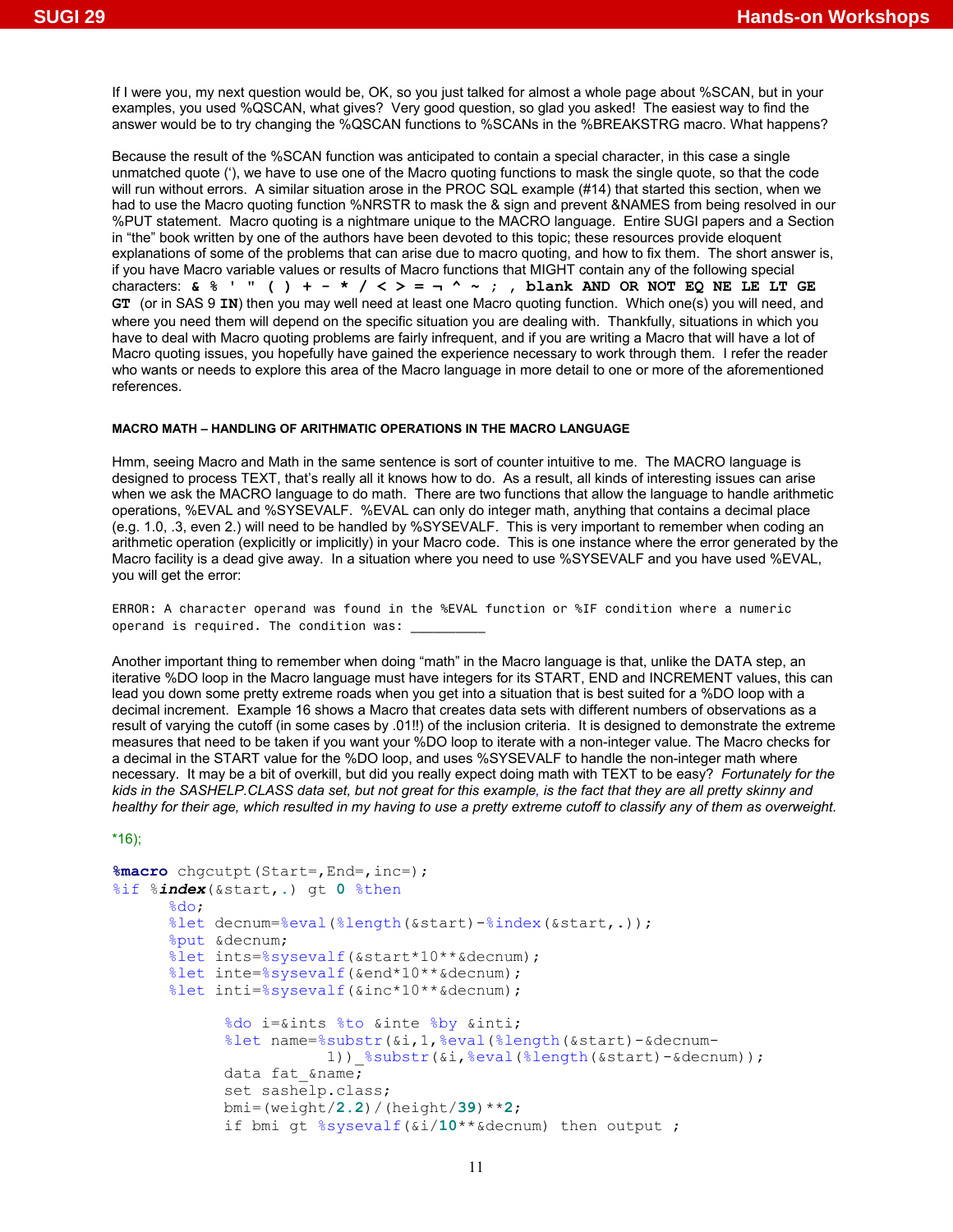If I were you, my next question would be, OK, so you just talked for almost a whole page about %SCAN, but in your examples, you used %QSCAN, what gives? Very good question, so glad you asked! The easiest way to find the answer would be to try changing the %QSCAN functions to %SCANs in the %BREAKSTRG macro. What happens?

Because the result of the %SCAN function was anticipated to contain a special character, in this case a single unmatched quote ('), we have to use one of the Macro quoting functions to mask the single quote, so that the code will run without errors. A similar situation arose in the PROC SQL example (#14) that started this section, when we had to use the Macro quoting function %NRSTR to mask the & sign and prevent &NAMES from being resolved in our %PUT statement. Macro quoting is a nightmare unique to the MACRO language. Entire SUGI papers and a Section in "the" book written by one of the authors have been devoted to this topic; these resources provide eloquent explanations of some of the problems that can arise due to macro quoting, and how to fix them. The short answer is, if you have Macro variable values or results of Macro functions that MIGHT contain any of the following special characters:  $\&8$  ' " () + - \* / < > = ¬ ^ ~ ; , blank AND OR NOT EQ NE LE LT GE **GT** (or in SAS 9 **IN**) then you may well need at least one Macro quoting function. Which one(s) you will need, and where you need them will depend on the specific situation you are dealing with. Thankfully, situations in which you have to deal with Macro quoting problems are fairly infrequent, and if you are writing a Macro that will have a lot of Macro quoting issues, you hopefully have gained the experience necessary to work through them. I refer the reader who wants or needs to explore this area of the Macro language in more detail to one or more of the aforementioned references.

# **MACRO MATH – HANDLING OF ARITHMATIC OPERATIONS IN THE MACRO LANGUAGE**

Hmm, seeing Macro and Math in the same sentence is sort of counter intuitive to me. The MACRO language is designed to process TEXT, that's really all it knows how to do. As a result, all kinds of interesting issues can arise when we ask the MACRO language to do math. There are two functions that allow the language to handle arithmetic operations, %EVAL and %SYSEVALF. %EVAL can only do integer math, anything that contains a decimal place (e.g. 1.0, .3, even 2.) will need to be handled by %SYSEVALF. This is very important to remember when coding an arithmetic operation (explicitly or implicitly) in your Macro code. This is one instance where the error generated by the Macro facility is a dead give away. In a situation where you need to use %SYSEVALF and you have used %EVAL, you will get the error:

ERROR: A character operand was found in the %EVAL function or %IF condition where a numeric operand is required. The condition was:

Another important thing to remember when doing "math" in the Macro language is that, unlike the DATA step, an iterative %DO loop in the Macro language must have integers for its START, END and INCREMENT values, this can lead you down some pretty extreme roads when you get into a situation that is best suited for a %DO loop with a decimal increment. Example 16 shows a Macro that creates data sets with different numbers of observations as a result of varying the cutoff (in some cases by .01!!) of the inclusion criteria. It is designed to demonstrate the extreme measures that need to be taken if you want your %DO loop to iterate with a non-integer value. The Macro checks for a decimal in the START value for the %DO loop, and uses %SYSEVALF to handle the non-integer math where necessary. It may be a bit of overkill, but did you really expect doing math with TEXT to be easy? *Fortunately for the kids in the SASHELP.CLASS data set, but not great for this example, is the fact that they are all pretty skinny and healthy for their age, which resulted in my having to use a pretty extreme cutoff to classify any of them as overweight.*

\*16);

```
%macro chgcutpt(Start=, End=, inc=);
%if %index(&start,.) gt 0 %then 
       %do; 
       %let decnum=%eval(%length(&start)-%index(&start,.)); 
       %put &decnum; 
       %let ints=%sysevalf(&start*10**&decnum); 
       %let inte=%sysevalf(&end*10**&decnum); 
       %let inti=%sysevalf(&inc*10**&decnum); 
              %do i=&ints %to &inte %by &inti; 
              %let name=%substr(&i,1,%eval(%length(&start)-&decnum- 
                          1)) \text{Substr}(\&i, \text{eval}(\&\text{length}(\&\text{start})-\&\text{decnum}));
             data fat \&name;
              set sashelp.class; 
              bmi=(weight/2.2)/(height/39)**2; 
              if bmi gt %sysevalf(&i/10**&decnum) then output ;
```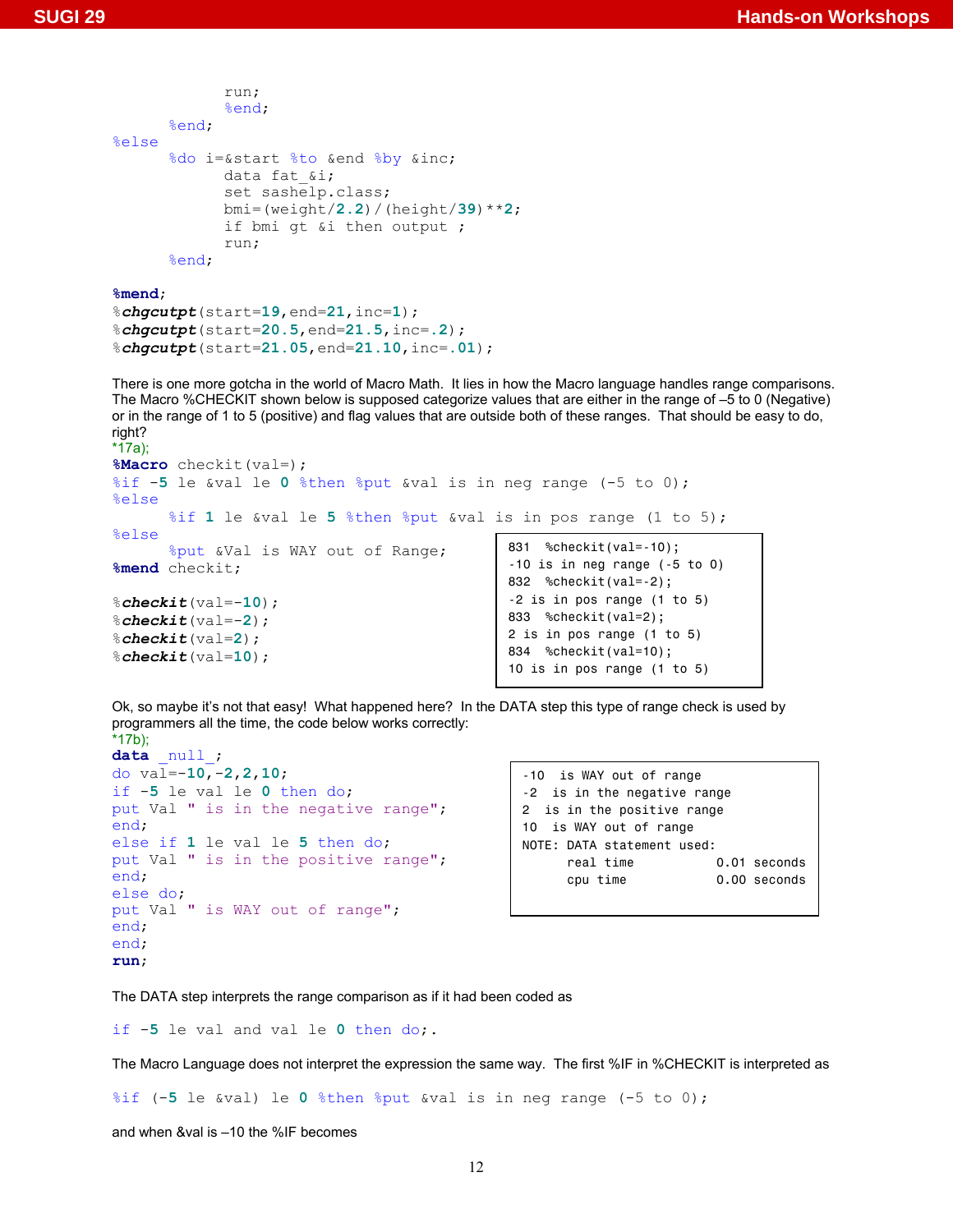```
 run; 
               %end; 
        %end; 
%else 
       %do i=&start %to &end %by &inc; 
               data fat_&i; 
               set sashelp.class; 
               bmi=(weight/2.2)/(height/39)**2; 
               if bmi gt &i then output ; 
               run; 
       %end;
```
**%mend**;

```
%chgcutpt(start=19,end=21,inc=1); 
%chgcutpt(start=20.5,end=21.5,inc=.2); 
%chgcutpt(start=21.05,end=21.10,inc=.01);
```
There is one more gotcha in the world of Macro Math. It lies in how the Macro language handles range comparisons. The Macro %CHECKIT shown below is supposed categorize values that are either in the range of –5 to 0 (Negative) or in the range of 1 to 5 (positive) and flag values that are outside both of these ranges. That should be easy to do, right?

```
*17a); 
%Macro checkit(val=); 
%if -5 le &val le 0 %then %put &val is in neg range (-5 to 0); 
%else
       %if 1 le &val le 5 %then %put &val is in pos range (1 to 5); 
%else 
       %put &Val is WAY out of Range; 
%mend checkit; 
%checkit(val=-10); 
%checkit(val=-2); 
%checkit(val=2); 
%checkit(val=10); 
                                                 831 %checkit(val=-10); 
                                                 -10 is in neg range (-5 to 0) 
                                                 832 %checkit(val=-2); 
                                                 -2 is in pos range (1 to 5) 
                                                 833 %checkit(val=2); 
                                                 2 is in pos range (1 to 5) 
                                                 834 %checkit(val=10); 
                                                 10 is in pos range (1 to 5)
```
Ok, so maybe it's not that easy! What happened here? In the DATA step this type of range check is used by programmers all the time, the code below works correctly: \*17b);

```
data _null_; 
do val=-10,-2,2,10; 
if -5 le val le 0 then do; 
put Val " is in the negative range"; 
end; 
else if 1 le val le 5 then do; 
put Val " is in the positive range"; 
end; 
else do; 
put Val " is WAY out of range"; 
end; 
end; 
run;
```

```
-10 is WAY out of range 
-2 is in the negative range 
2 is in the positive range 
10 is WAY out of range 
NOTE: DATA statement used: 
     real time 0.01 seconds
      cpu time 0.00 seconds
```
The DATA step interprets the range comparison as if it had been coded as

if -**5** le val and val le **0** then do;.

The Macro Language does not interpret the expression the same way. The first %IF in %CHECKIT is interpreted as

%if (-**5** le &val) le **0** %then %put &val is in neg range (-5 to 0);

and when &val is –10 the %IF becomes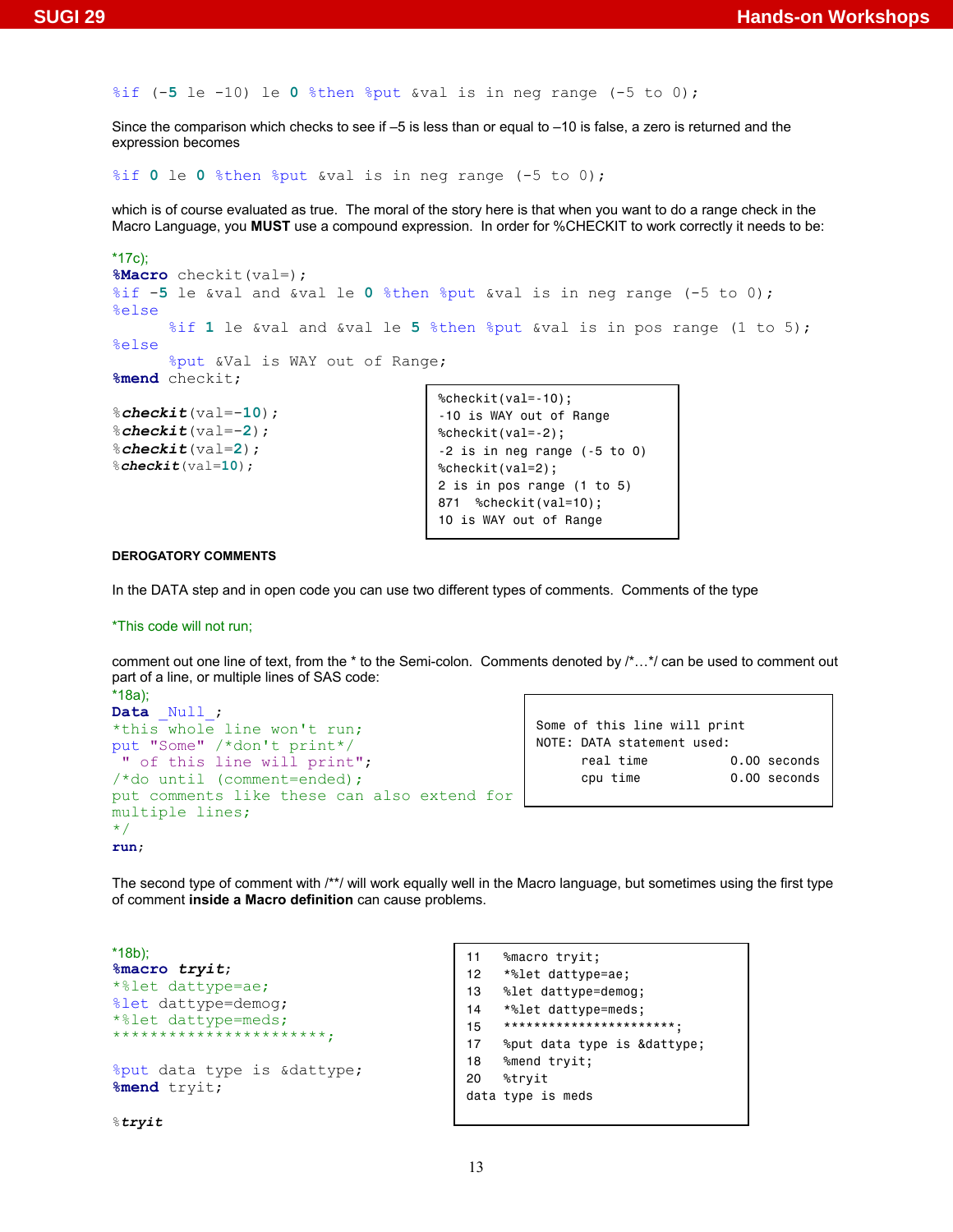%if (-**5** le -10) le **0** %then %put &val is in neg range (-5 to 0);

Since the comparison which checks to see if –5 is less than or equal to –10 is false, a zero is returned and the expression becomes

%if **0** le **0** %then %put &val is in neg range (-5 to 0);

which is of course evaluated as true. The moral of the story here is that when you want to do a range check in the Macro Language, you **MUST** use a compound expression. In order for %CHECKIT to work correctly it needs to be:

```
*17c); 
%Macro checkit(val=); 
%if -5 le &val and &val le 0 %then %put &val is in neg range (-5 to 0); 
%else
      %if 1 le &val and &val le 5 %then %put &val is in pos range (1 to 5); 
%else 
      %put &Val is WAY out of Range; 
%mend checkit; 
%checkit(val=-10); 
                                      %checkit(val=-10); 
                                      -10 is WAY out of Range
```

```
%checkit(val=-2); 
%checkit(val=2); 
%checkit(val=10);
```

```
%checkit(val=-2); 
-2 is in neg range (-5 to 0) 
%checkit(val=2); 
2 is in pos range (1 to 5) 
871 %checkit(val=10); 
10 is WAY out of Range
```
#### **DEROGATORY COMMENTS**

In the DATA step and in open code you can use two different types of comments. Comments of the type

\*This code will not run;

comment out one line of text, from the \* to the Semi-colon. Comments denoted by /\*…\*/ can be used to comment out part of a line, or multiple lines of SAS code:

```
*18a); 
Data Null;
*this whole line won't run;
put "Some" /*don't print*/ 
" of this line will print";
/*do until (comment=ended); 
put comments like these can also extend for 
multiple lines; 
*/
run;
```

```
Some of this line will print 
NOTE: DATA statement used: 
     real time 0.00 seconds
      cpu time 0.00 seconds
```
The second type of comment with /\*\*/ will work equally well in the Macro language, but sometimes using the first type of comment **inside a Macro definition** can cause problems.

```
*18b); 
%macro tryit; 
*%let dattype=ae;
%let dattype=demog; 
*%let dattype=meds;
             -<br>*************<sub>*</sub>
%put data type is &dattype; 
%mend tryit;
```
%*tryit* 

```
11 %macro tryit; 
12 *%let dattype=ae; 
13 %let dattype=demog; 
14 *%let dattype=meds; 
15 ***********************; 
17 %put data type is &dattype; 
18 %mend tryit; 
20 %tryit 
data type is meds
```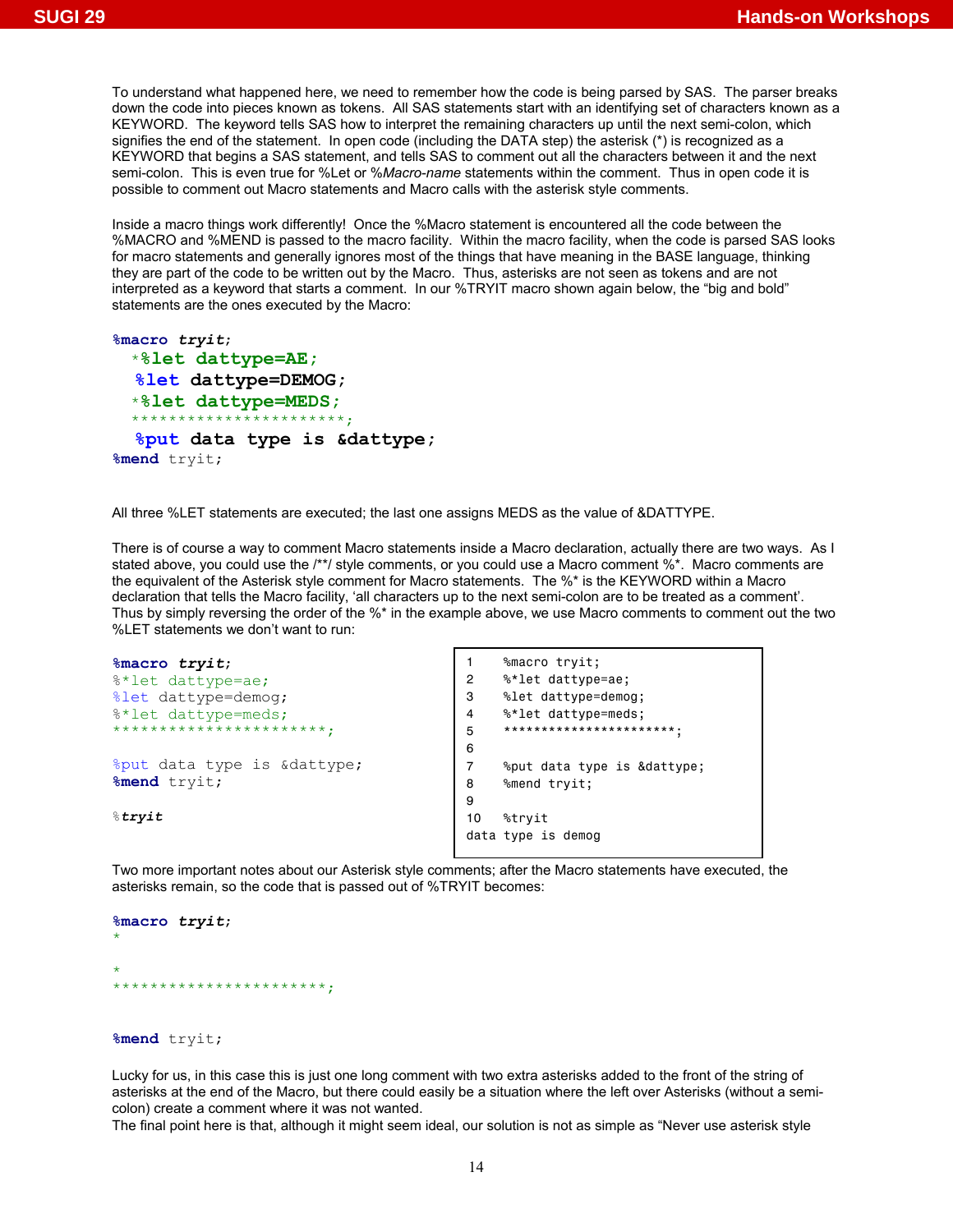To understand what happened here, we need to remember how the code is being parsed by SAS. The parser breaks down the code into pieces known as tokens. All SAS statements start with an identifying set of characters known as a KEYWORD. The keyword tells SAS how to interpret the remaining characters up until the next semi-colon, which signifies the end of the statement. In open code (including the DATA step) the asterisk (\*) is recognized as a KEYWORD that begins a SAS statement, and tells SAS to comment out all the characters between it and the next semi-colon. This is even true for %Let or %*Macro-name* statements within the comment. Thus in open code it is possible to comment out Macro statements and Macro calls with the asterisk style comments.

Inside a macro things work differently! Once the %Macro statement is encountered all the code between the %MACRO and %MEND is passed to the macro facility. Within the macro facility, when the code is parsed SAS looks for macro statements and generally ignores most of the things that have meaning in the BASE language, thinking they are part of the code to be written out by the Macro. Thus, asterisks are not seen as tokens and are not interpreted as a keyword that starts a comment. In our %TRYIT macro shown again below, the "big and bold" statements are the ones executed by the Macro:

```
%macro tryit; 
  *%let dattype=AE;
   %let dattype=DEMOG; 
  *%let dattype=MEDS;
 **********************
   %put data type is &dattype; 
%mend tryit;
```
All three %LET statements are executed; the last one assigns MEDS as the value of &DATTYPE.

There is of course a way to comment Macro statements inside a Macro declaration, actually there are two ways. As I stated above, you could use the /\*\*/ style comments, or you could use a Macro comment %\*. Macro comments are the equivalent of the Asterisk style comment for Macro statements. The %\* is the KEYWORD within a Macro declaration that tells the Macro facility, 'all characters up to the next semi-colon are to be treated as a comment'. Thus by simply reversing the order of the %\* in the example above, we use Macro comments to comment out the two %LET statements we don't want to run:

```
%macro tryit; 
%*let dattype=ae;
%let dattype=demog; 
%*let dattype=meds;
***********************;
%put data type is &dattype; 
%mend tryit; 
%tryit
                                           1 %macro tryit; 
                                           2 %*let dattype=ae; 
                                           3 %let dattype=demog; 
                                           4 %*let dattype=meds; 
                                           5 ***********************; 
                                           6 
                                           7 %put data type is &dattype; 
                                           8 %mend tryit; 
                                           9 
                                           10 %tryit 
                                           data type is demog
```
Two more important notes about our Asterisk style comments; after the Macro statements have executed, the asterisks remain, so the code that is passed out of %TRYIT becomes:

```
%macro tryit; 
* 
* 
***********************;
```
**%mend** tryit;

Lucky for us, in this case this is just one long comment with two extra asterisks added to the front of the string of asterisks at the end of the Macro, but there could easily be a situation where the left over Asterisks (without a semicolon) create a comment where it was not wanted.

The final point here is that, although it might seem ideal, our solution is not as simple as "Never use asterisk style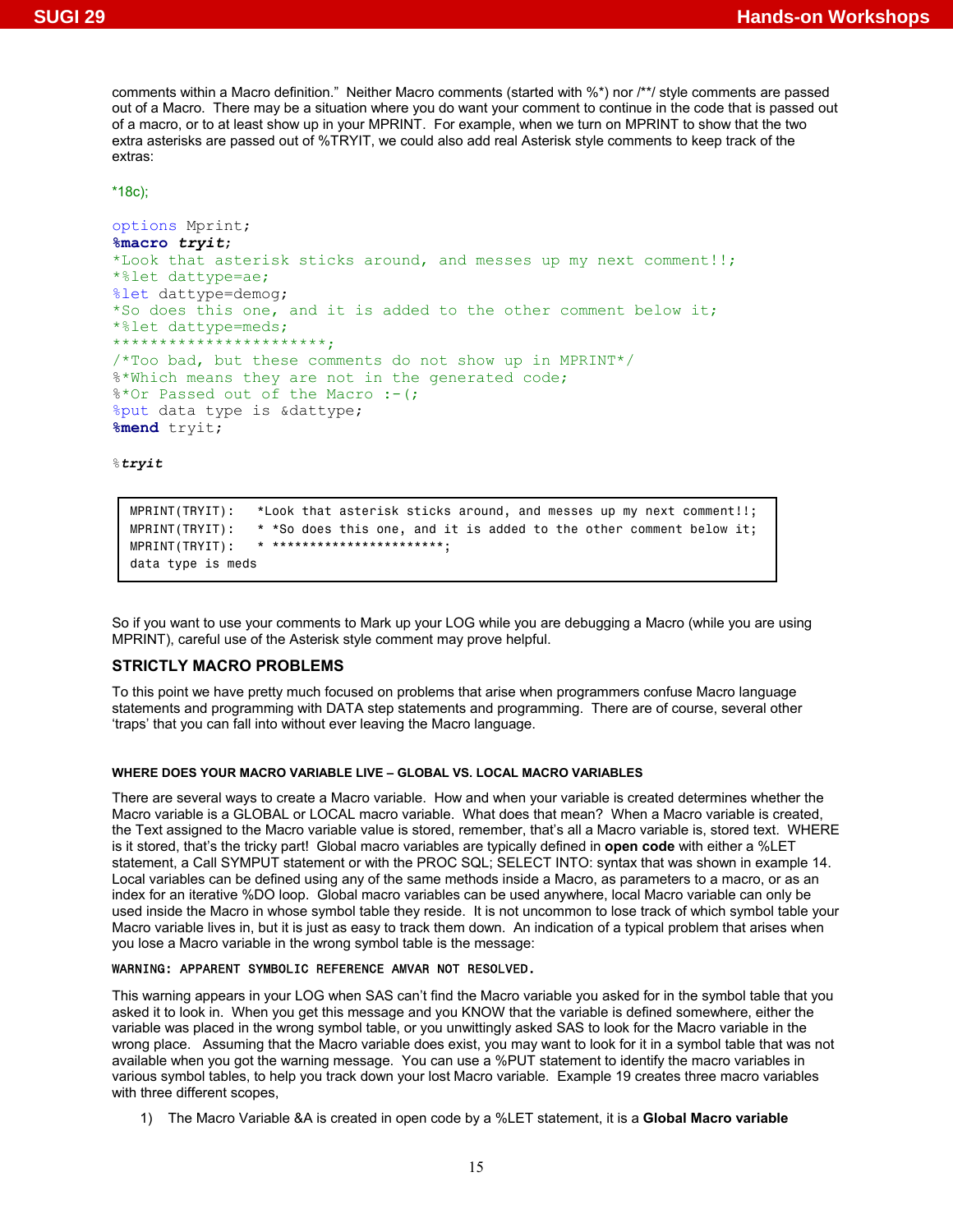comments within a Macro definition." Neither Macro comments (started with %\*) nor /\*\*/ style comments are passed out of a Macro. There may be a situation where you do want your comment to continue in the code that is passed out of a macro, or to at least show up in your MPRINT. For example, when we turn on MPRINT to show that the two extra asterisks are passed out of %TRYIT, we could also add real Asterisk style comments to keep track of the extras:

\*18c);

```
options Mprint; 
%macro tryit; 
*Look that asterisk sticks around, and messes up my next comment!!;
*%let dattype=ae;
%let dattype=demog; 
*So does this one, and it is added to the other comment below it;
*%let dattype=meds;
**********************
/*Too bad, but these comments do not show up in MPRINT*/
%*Which means they are not in the generated code;
%*Or Passed out of the Macro :- (;
%put data type is &dattype; 
%mend tryit;
```
%*tryit* 

```
MPRINT(TRYIT): *Look that asterisk sticks around, and messes up my next comment!!; 
MPRINT(TRYIT): * *So does this one, and it is added to the other comment below it;
MPRINT(TRYIT): * ***********************; 
data type is meds
```
So if you want to use your comments to Mark up your LOG while you are debugging a Macro (while you are using MPRINT), careful use of the Asterisk style comment may prove helpful.

# **STRICTLY MACRO PROBLEMS**

To this point we have pretty much focused on problems that arise when programmers confuse Macro language statements and programming with DATA step statements and programming. There are of course, several other 'traps' that you can fall into without ever leaving the Macro language.

#### **WHERE DOES YOUR MACRO VARIABLE LIVE – GLOBAL VS. LOCAL MACRO VARIABLES**

There are several ways to create a Macro variable. How and when your variable is created determines whether the Macro variable is a GLOBAL or LOCAL macro variable. What does that mean? When a Macro variable is created, the Text assigned to the Macro variable value is stored, remember, that's all a Macro variable is, stored text. WHERE is it stored, that's the tricky part! Global macro variables are typically defined in **open code** with either a %LET statement, a Call SYMPUT statement or with the PROC SQL; SELECT INTO: syntax that was shown in example 14. Local variables can be defined using any of the same methods inside a Macro, as parameters to a macro, or as an index for an iterative %DO loop. Global macro variables can be used anywhere, local Macro variable can only be used inside the Macro in whose symbol table they reside. It is not uncommon to lose track of which symbol table your Macro variable lives in, but it is just as easy to track them down. An indication of a typical problem that arises when you lose a Macro variable in the wrong symbol table is the message:

#### WARNING: APPARENT SYMBOLIC REFERENCE AMVAR NOT RESOLVED.

This warning appears in your LOG when SAS can't find the Macro variable you asked for in the symbol table that you asked it to look in. When you get this message and you KNOW that the variable is defined somewhere, either the variable was placed in the wrong symbol table, or you unwittingly asked SAS to look for the Macro variable in the wrong place. Assuming that the Macro variable does exist, you may want to look for it in a symbol table that was not available when you got the warning message. You can use a %PUT statement to identify the macro variables in various symbol tables, to help you track down your lost Macro variable. Example 19 creates three macro variables with three different scopes,

1) The Macro Variable &A is created in open code by a %LET statement, it is a **Global Macro variable**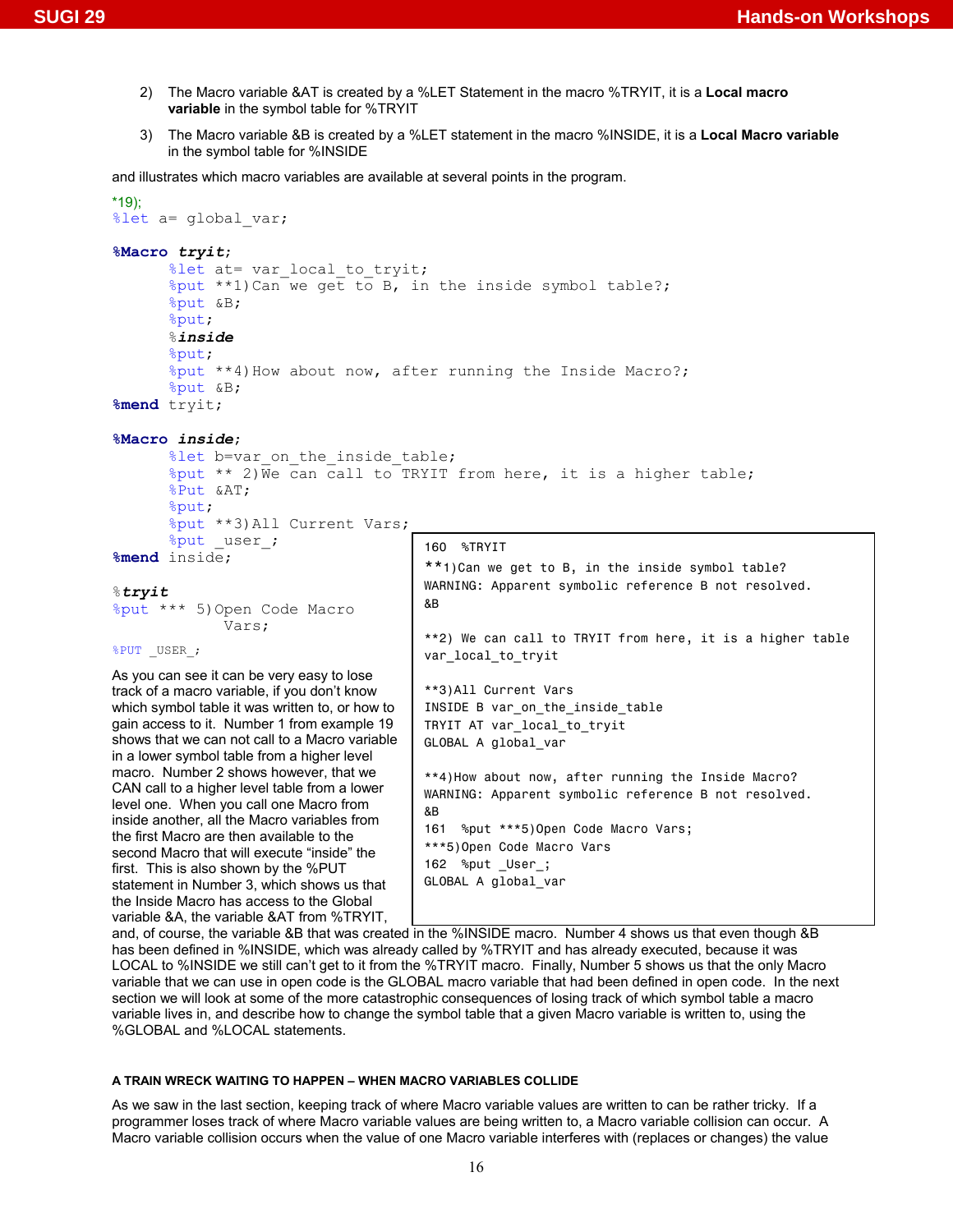- 2) The Macro variable &AT is created by a %LET Statement in the macro %TRYIT, it is a **Local macro variable** in the symbol table for %TRYIT
- 3) The Macro variable &B is created by a %LET statement in the macro %INSIDE, it is a **Local Macro variable** in the symbol table for %INSIDE

and illustrates which macro variables are available at several points in the program.

```
*19); 
%let a= global var;
%Macro tryit; 
        %let at= var local to tryit;
        %put **1)Can we get to B, in the inside symbol table?; 
        %put &B; 
        %put; 
        %inside
       %put; 
        %put **4)How about now, after running the Inside Macro?; 
       %put &B; 
%mend tryit; 
%Macro inside; 
       %let b=var on the inside table;
        %put ** 2)We can call to TRYIT from here, it is a higher table; 
       %Put &AT; 
       %put; 
        %put **3)All Current Vars; 
        \sqrt[3]{\frac{1}{2}} user;
%mend inside; 
%tryit
%put *** 5)Open Code Macro 
                Vars; 
%PUT _USER_; 
As you can see it can be very easy to lose 
track of a macro variable, if you don't know 
which symbol table it was written to, or how to 
gain access to it. Number 1 from example 19 
shows that we can not call to a Macro variable 
in a lower symbol table from a higher level 
macro. Number 2 shows however, that we 
CAN call to a higher level table from a lower 
level one. When you call one Macro from 
inside another, all the Macro variables from 
the first Macro are then available to the 
second Macro that will execute "inside" the 
first. This is also shown by the %PUT 
statement in Number 3, which shows us that 
the Inside Macro has access to the Global 
variable &A, the variable &AT from %TRYIT, 
                                            160 %TRYIT 
                                            **1)Can we get to B, in the inside symbol table? 
                                            WARNING: Apparent symbolic reference B not resolved. 
                                            &B 
                                            **2) We can call to TRYIT from here, it is a higher table 
                                            var_local_to_tryit 
                                            **3)All Current Vars 
                                            INSIDE B var on the inside table
                                            TRYIT AT var_local_to_tryit 
                                            GLOBAL A global_var 
                                            **4)How about now, after running the Inside Macro? 
                                            WARNING: Apparent symbolic reference B not resolved. 
                                            &B 
                                            161 %put ***5)Open Code Macro Vars; 
                                            ***5)Open Code Macro Vars 
                                            162 %put _User_; 
                                            GLOBAL A global_var
```
and, of course, the variable &B that was created in the %INSIDE macro. Number 4 shows us that even though &B has been defined in %INSIDE, which was already called by %TRYIT and has already executed, because it was LOCAL to %INSIDE we still can't get to it from the %TRYIT macro. Finally, Number 5 shows us that the only Macro variable that we can use in open code is the GLOBAL macro variable that had been defined in open code. In the next section we will look at some of the more catastrophic consequences of losing track of which symbol table a macro variable lives in, and describe how to change the symbol table that a given Macro variable is written to, using the %GLOBAL and %LOCAL statements.

#### **A TRAIN WRECK WAITING TO HAPPEN – WHEN MACRO VARIABLES COLLIDE**

As we saw in the last section, keeping track of where Macro variable values are written to can be rather tricky. If a programmer loses track of where Macro variable values are being written to, a Macro variable collision can occur. A Macro variable collision occurs when the value of one Macro variable interferes with (replaces or changes) the value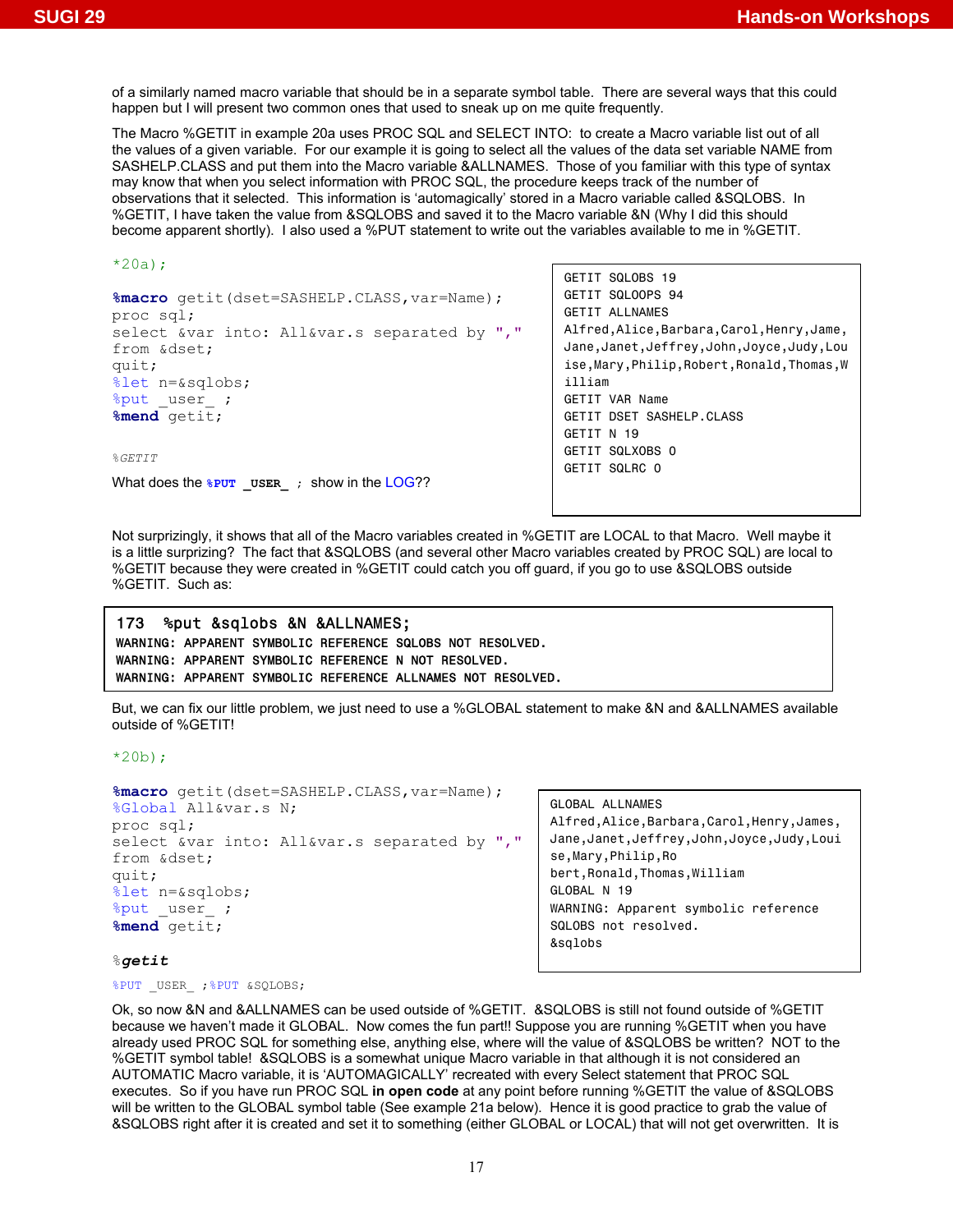of a similarly named macro variable that should be in a separate symbol table. There are several ways that this could happen but I will present two common ones that used to sneak up on me quite frequently.

The Macro %GETIT in example 20a uses PROC SQL and SELECT INTO: to create a Macro variable list out of all the values of a given variable. For our example it is going to select all the values of the data set variable NAME from SASHELP.CLASS and put them into the Macro variable &ALLNAMES. Those of you familiar with this type of syntax may know that when you select information with PROC SQL, the procedure keeps track of the number of observations that it selected. This information is 'automagically' stored in a Macro variable called &SQLOBS. In %GETIT, I have taken the value from &SQLOBS and saved it to the Macro variable &N (Why I did this should become apparent shortly). I also used a %PUT statement to write out the variables available to me in %GETIT.

```
*20a) :
```

```
%macro getit(dset=SASHELP.CLASS,var=Name); 
proc sql; 
select &var into: All&var.s separated by ", "
from &dset; 
quit; 
%let n=&sqlobs; 
%put user ;
%mend getit;
```
%*GETIT*

What does the  $\sqrt{\frac{pU_T}{W}}$  user ; show in the LOG??

GETIT SQLOBS 19 GETIT SQLOOPS 94 GETIT ALLNAMES Alfred,Alice,Barbara,Carol,Henry,Jame, Jane,Janet,Jeffrey,John,Joyce,Judy,Lou ise,Mary,Philip,Robert,Ronald,Thomas,W illiam GETIT VAR Name GETIT DSET SASHELP.CLASS GETIT N 19 GETIT SQLXOBS 0 GETIT SQLRC 0

Not surprizingly, it shows that all of the Macro variables created in %GETIT are LOCAL to that Macro. Well maybe it is a little surprizing? The fact that &SQLOBS (and several other Macro variables created by PROC SQL) are local to %GETIT because they were created in %GETIT could catch you off guard, if you go to use &SQLOBS outside %GETIT. Such as:

# 173 %put &sqlobs &N &ALLNAMES; WARNING: APPARENT SYMBOLIC REFERENCE SQLOBS NOT RESOLVED. WARNING: APPARENT SYMBOLIC REFERENCE N NOT RESOLVED. WARNING: APPARENT SYMBOLIC REFERENCE ALLNAMES NOT RESOLVED.

But, we can fix our little problem, we just need to use a %GLOBAL statement to make &N and &ALLNAMES available outside of %GETIT!

 $*20b$ );

```
%macro getit(dset=SASHELP.CLASS,var=Name); 
%Global All&var.s N; 
proc sql; 
select &var into: All&var.s separated by ", "
from &dset; 
quit; 
%let n=&sqlobs; 
%put user ;
%mend getit;
```
GLOBAL ALLNAMES Alfred,Alice,Barbara,Carol,Henry,James, Jane,Janet,Jeffrey,John,Joyce,Judy,Loui se,Mary,Philip,Ro bert,Ronald,Thomas,William GLOBAL N 19 WARNING: Apparent symbolic reference SQLOBS not resolved. &sqlobs

## %*getit*

%PUT USER ;%PUT &SQLOBS;

Ok, so now &N and &ALLNAMES can be used outside of %GETIT. &SQLOBS is still not found outside of %GETIT because we haven't made it GLOBAL. Now comes the fun part!! Suppose you are running %GETIT when you have already used PROC SQL for something else, anything else, where will the value of &SQLOBS be written? NOT to the %GETIT symbol table! &SQLOBS is a somewhat unique Macro variable in that although it is not considered an AUTOMATIC Macro variable, it is 'AUTOMAGICALLY' recreated with every Select statement that PROC SQL executes. So if you have run PROC SQL **in open code** at any point before running %GETIT the value of &SQLOBS will be written to the GLOBAL symbol table (See example 21a below). Hence it is good practice to grab the value of &SQLOBS right after it is created and set it to something (either GLOBAL or LOCAL) that will not get overwritten. It is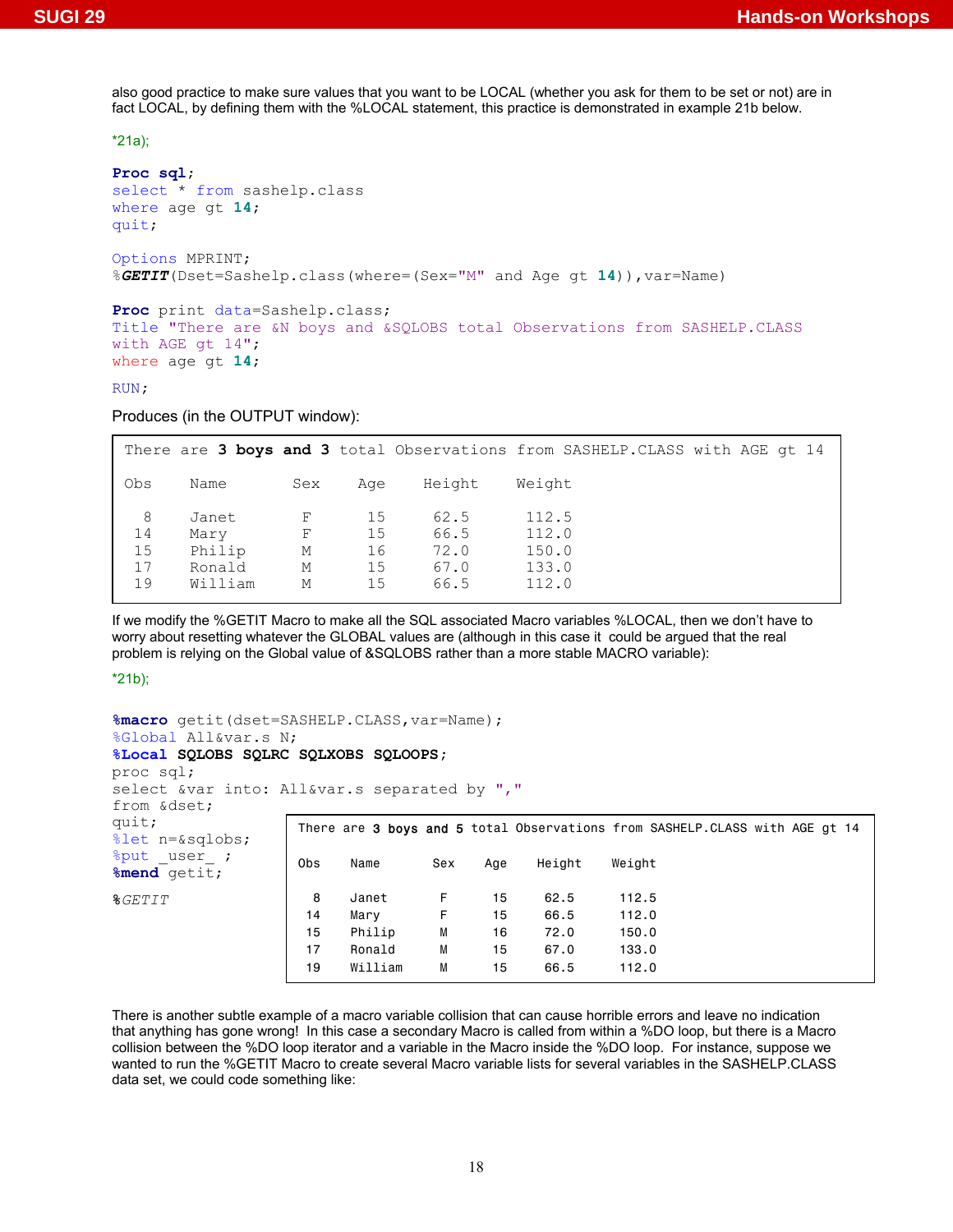also good practice to make sure values that you want to be LOCAL (whether you ask for them to be set or not) are in fact LOCAL, by defining them with the %LOCAL statement, this practice is demonstrated in example 21b below.

\*21a);

```
Proc sql; 
select * from sashelp.class 
where age gt 14; 
quit; 
Options MPRINT; 
%GETIT(Dset=Sashelp.class(where=(Sex="M" and Age gt 14)),var=Name)
```

```
Proc print data=Sashelp.class; 
Title "There are &N boys and &SQLOBS total Observations from SASHELP.CLASS 
with AGE gt 14"; 
where age gt 14;
```
RUN**;**

Produces (in the OUTPUT window):

|                           |                                              |                       |                            |                                      | There are 3 boys and 3 total Observations from SASHELP. CLASS with AGE qt 14 |  |
|---------------------------|----------------------------------------------|-----------------------|----------------------------|--------------------------------------|------------------------------------------------------------------------------|--|
| Obs                       | Name                                         | Sex                   | Aae                        | Height                               | Weight                                                                       |  |
| 8<br>14<br>15<br>17<br>19 | Janet<br>Mary<br>Philip<br>Ronald<br>William | F<br>F<br>М<br>М<br>М | 15<br>15<br>16<br>15<br>15 | 62.5<br>66.5<br>72.0<br>67.0<br>66.5 | 112.5<br>112.0<br>150.0<br>133.0<br>112.0                                    |  |

If we modify the %GETIT Macro to make all the SQL associated Macro variables %LOCAL, then we don't have to worry about resetting whatever the GLOBAL values are (although in this case it could be argued that the real problem is relying on the Global value of &SQLOBS rather than a more stable MACRO variable):

\*21b);

```
%macro getit(dset=SASHELP.CLASS,var=Name); 
%Global All&var.s N; 
%Local SQLOBS SQLRC SQLXOBS SQLOOPS; 
proc sql; 
select &var into: All&var.s separated by ", "
from &dset; 
quit; 
%let n=&sqlobs; 
%put user ;
%mend getit; 
%GETIT 
                  There are 3 boys and 5 total Observations from SASHELP.CLASS with AGE gt 14
                  Obs Name Sex Age Height Weight 
                   8 Janet F 15 62.5 112.5 
                   14 Mary F 15 66.5 112.0 
                    15 Philip M 16 72.0 150.0 
                   17 Ronald M 15 67.0 133.0 
                    19 William M 15 66.5 112.0
```
There is another subtle example of a macro variable collision that can cause horrible errors and leave no indication that anything has gone wrong! In this case a secondary Macro is called from within a %DO loop, but there is a Macro collision between the %DO loop iterator and a variable in the Macro inside the %DO loop. For instance, suppose we wanted to run the %GETIT Macro to create several Macro variable lists for several variables in the SASHELP.CLASS data set, we could code something like: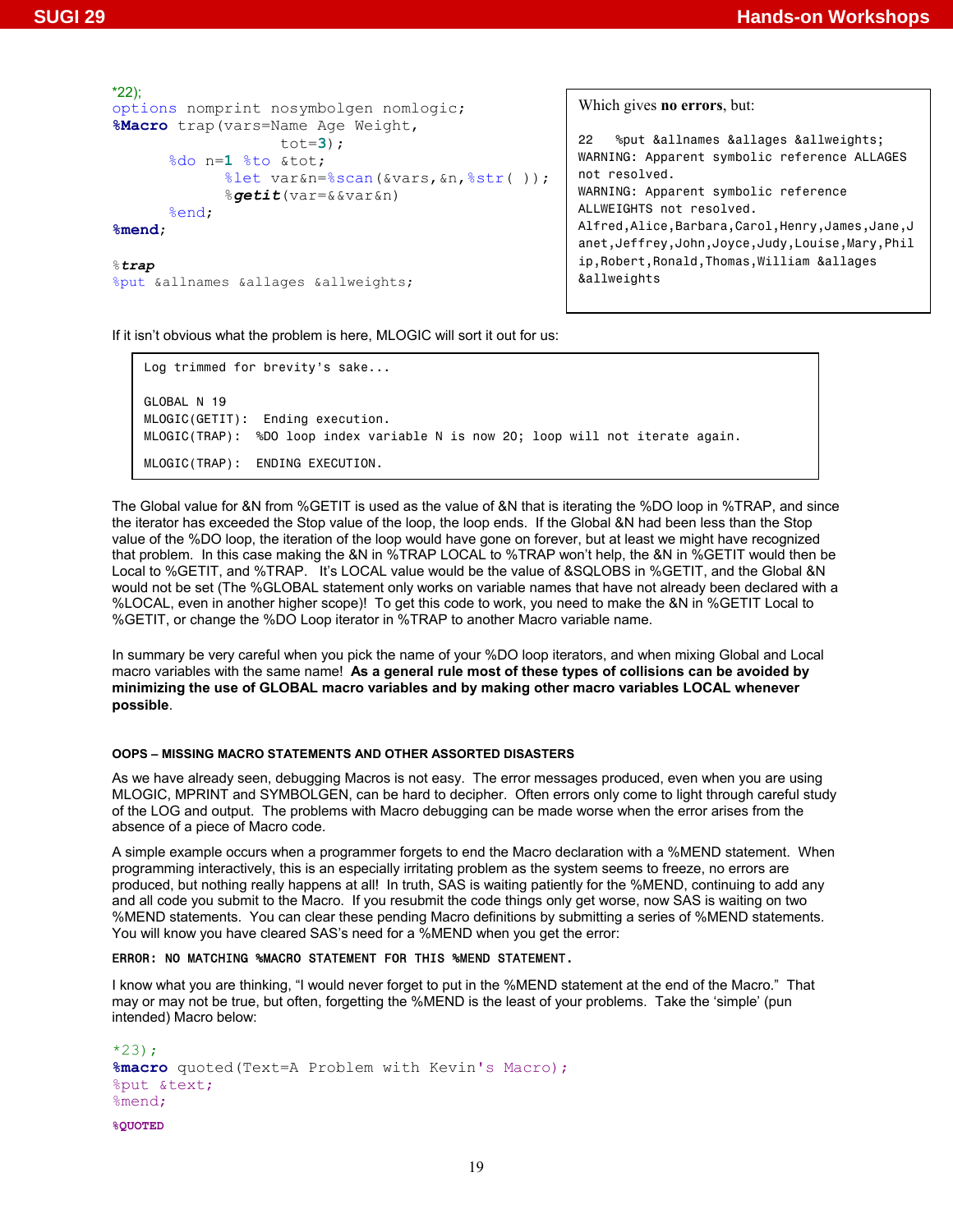```
*22); 
options nomprint nosymbolgen nomlogic; 
%Macro trap(vars=Name Age Weight, 
                     tot=3); 
      %do n=1 %to &tot;
              %let var&n=%scan(&vars,&n,%str( )); 
              %getit(var=&&var&n) 
      %end; 
%mend; 
%trap 
%put &allnames &allages &allweights;
```
Which gives **no errors**, but:

22 %put &allnames &allages &allweights; WARNING: Apparent symbolic reference ALLAGES not resolved. WARNING: Apparent symbolic reference ALLWEIGHTS not resolved. Alfred,Alice,Barbara,Carol,Henry,James,Jane,J anet,Jeffrey,John,Joyce,Judy,Louise,Mary,Phil ip,Robert,Ronald,Thomas,William &allages &allweights

If it isn't obvious what the problem is here, MLOGIC will sort it out for us:

```
Log trimmed for brevity's sake... 
GLOBAL N 19 
MLOGIC(GETIT): Ending execution. 
MLOGIC(TRAP): %DO loop index variable N is now 20; loop will not iterate again. 
MLOGIC(TRAP): ENDING EXECUTION.
```
The Global value for &N from %GETIT is used as the value of &N that is iterating the %DO loop in %TRAP, and since the iterator has exceeded the Stop value of the loop, the loop ends. If the Global &N had been less than the Stop value of the %DO loop, the iteration of the loop would have gone on forever, but at least we might have recognized that problem. In this case making the &N in %TRAP LOCAL to %TRAP won't help, the &N in %GETIT would then be Local to %GETIT, and %TRAP. It's LOCAL value would be the value of &SQLOBS in %GETIT, and the Global &N would not be set (The %GLOBAL statement only works on variable names that have not already been declared with a %LOCAL, even in another higher scope)! To get this code to work, you need to make the &N in %GETIT Local to %GETIT, or change the %DO Loop iterator in %TRAP to another Macro variable name.

In summary be very careful when you pick the name of your %DO loop iterators, and when mixing Global and Local macro variables with the same name! **As a general rule most of these types of collisions can be avoided by minimizing the use of GLOBAL macro variables and by making other macro variables LOCAL whenever possible**.

## **OOPS – MISSING MACRO STATEMENTS AND OTHER ASSORTED DISASTERS**

As we have already seen, debugging Macros is not easy. The error messages produced, even when you are using MLOGIC, MPRINT and SYMBOLGEN, can be hard to decipher. Often errors only come to light through careful study of the LOG and output. The problems with Macro debugging can be made worse when the error arises from the absence of a piece of Macro code.

A simple example occurs when a programmer forgets to end the Macro declaration with a %MEND statement. When programming interactively, this is an especially irritating problem as the system seems to freeze, no errors are produced, but nothing really happens at all! In truth, SAS is waiting patiently for the %MEND, continuing to add any and all code you submit to the Macro. If you resubmit the code things only get worse, now SAS is waiting on two %MEND statements. You can clear these pending Macro definitions by submitting a series of %MEND statements. You will know you have cleared SAS's need for a %MEND when you get the error:

# ERROR: NO MATCHING %MACRO STATEMENT FOR THIS %MEND STATEMENT.

I know what you are thinking, "I would never forget to put in the %MEND statement at the end of the Macro." That may or may not be true, but often, forgetting the %MEND is the least of your problems. Take the 'simple' (pun intended) Macro below:

```
*23;
%macro quoted(Text=A Problem with Kevin's Macro); 
%put &text; 
%mend;
```

```
%QUOTED
```